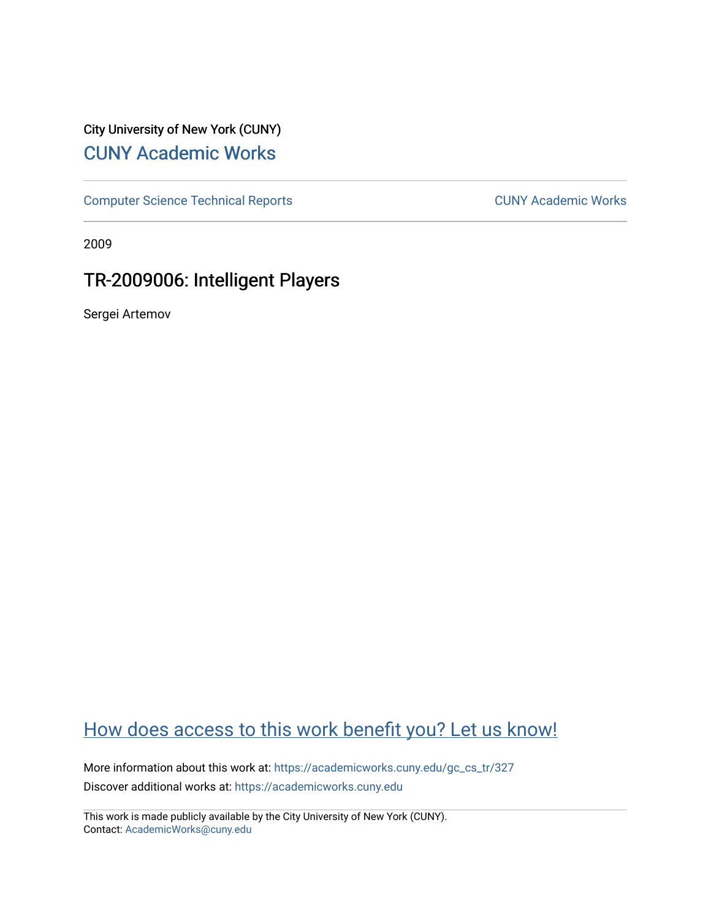# City University of New York (CUNY) [CUNY Academic Works](https://academicworks.cuny.edu/)

[Computer Science Technical Reports](https://academicworks.cuny.edu/gc_cs_tr) **CUNY Academic Works** CUNY Academic Works

2009

# TR-2009006: Intelligent Players

Sergei Artemov

# [How does access to this work benefit you? Let us know!](http://ols.cuny.edu/academicworks/?ref=https://academicworks.cuny.edu/gc_cs_tr/327)

More information about this work at: https://academicworks.cuny.edu/gc\_cs\_tr/327 Discover additional works at: [https://academicworks.cuny.edu](https://academicworks.cuny.edu/?)

This work is made publicly available by the City University of New York (CUNY). Contact: [AcademicWorks@cuny.edu](mailto:AcademicWorks@cuny.edu)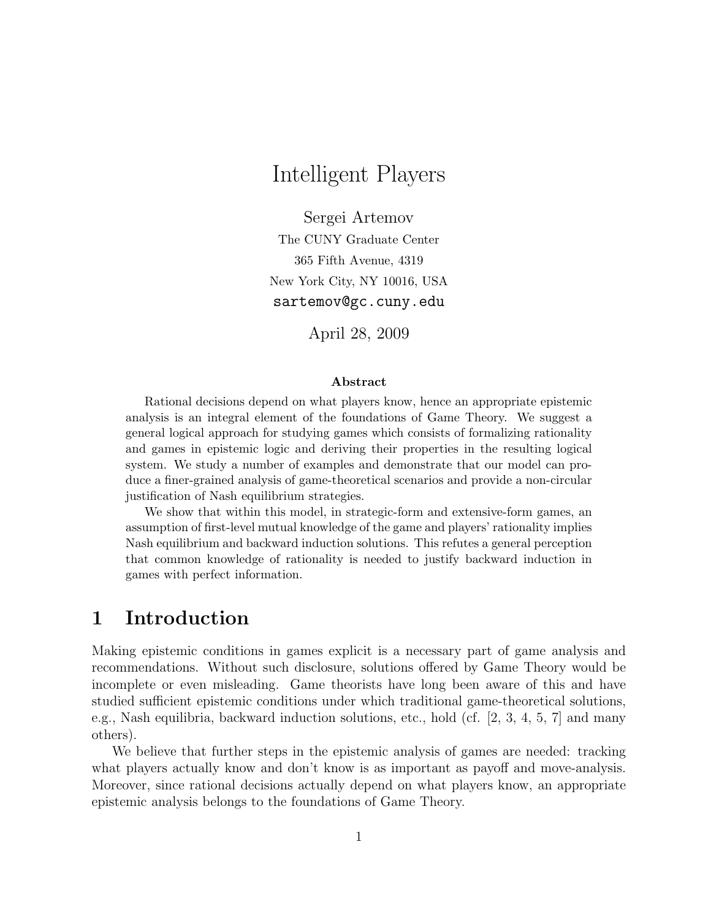# Intelligent Players

Sergei Artemov The CUNY Graduate Center 365 Fifth Avenue, 4319 New York City, NY 10016, USA sartemov@gc.cuny.edu

April 28, 2009

#### Abstract

Rational decisions depend on what players know, hence an appropriate epistemic analysis is an integral element of the foundations of Game Theory. We suggest a general logical approach for studying games which consists of formalizing rationality and games in epistemic logic and deriving their properties in the resulting logical system. We study a number of examples and demonstrate that our model can produce a finer-grained analysis of game-theoretical scenarios and provide a non-circular justification of Nash equilibrium strategies.

We show that within this model, in strategic-form and extensive-form games, an assumption of first-level mutual knowledge of the game and players' rationality implies Nash equilibrium and backward induction solutions. This refutes a general perception that common knowledge of rationality is needed to justify backward induction in games with perfect information.

## 1 Introduction

Making epistemic conditions in games explicit is a necessary part of game analysis and recommendations. Without such disclosure, solutions offered by Game Theory would be incomplete or even misleading. Game theorists have long been aware of this and have studied sufficient epistemic conditions under which traditional game-theoretical solutions, e.g., Nash equilibria, backward induction solutions, etc., hold (cf. [2, 3, 4, 5, 7] and many others).

We believe that further steps in the epistemic analysis of games are needed: tracking what players actually know and don't know is as important as payoff and move-analysis. Moreover, since rational decisions actually depend on what players know, an appropriate epistemic analysis belongs to the foundations of Game Theory.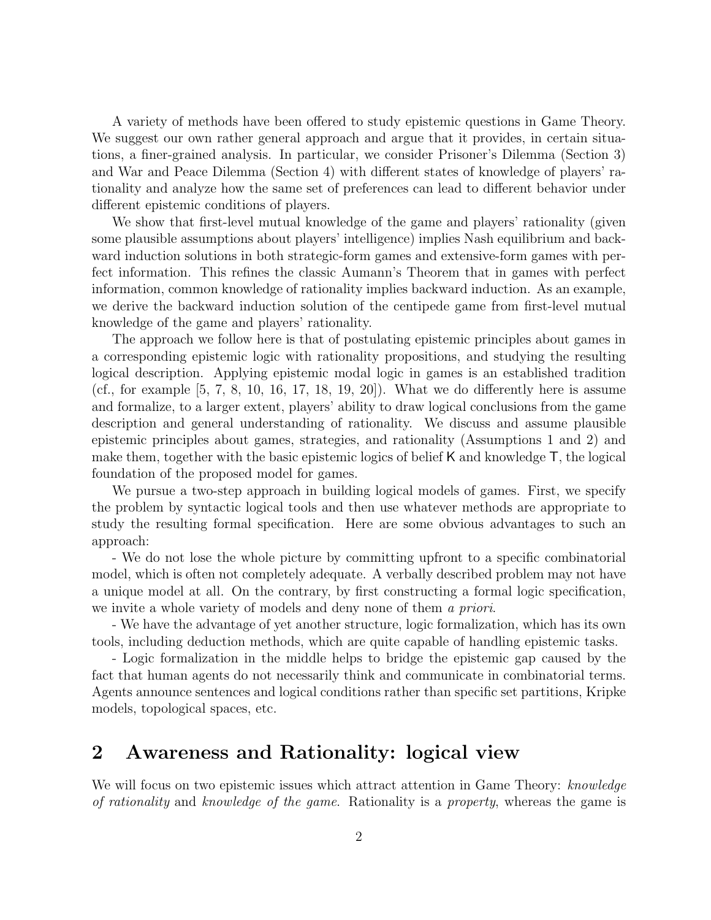A variety of methods have been offered to study epistemic questions in Game Theory. We suggest our own rather general approach and argue that it provides, in certain situations, a finer-grained analysis. In particular, we consider Prisoner's Dilemma (Section 3) and War and Peace Dilemma (Section 4) with different states of knowledge of players' rationality and analyze how the same set of preferences can lead to different behavior under different epistemic conditions of players.

We show that first-level mutual knowledge of the game and players' rationality (given some plausible assumptions about players' intelligence) implies Nash equilibrium and backward induction solutions in both strategic-form games and extensive-form games with perfect information. This refines the classic Aumann's Theorem that in games with perfect information, common knowledge of rationality implies backward induction. As an example, we derive the backward induction solution of the centipede game from first-level mutual knowledge of the game and players' rationality.

The approach we follow here is that of postulating epistemic principles about games in a corresponding epistemic logic with rationality propositions, and studying the resulting logical description. Applying epistemic modal logic in games is an established tradition (cf., for example  $[5, 7, 8, 10, 16, 17, 18, 19, 20]$ ). What we do differently here is assume and formalize, to a larger extent, players' ability to draw logical conclusions from the game description and general understanding of rationality. We discuss and assume plausible epistemic principles about games, strategies, and rationality (Assumptions 1 and 2) and make them, together with the basic epistemic logics of belief K and knowledge T, the logical foundation of the proposed model for games.

We pursue a two-step approach in building logical models of games. First, we specify the problem by syntactic logical tools and then use whatever methods are appropriate to study the resulting formal specification. Here are some obvious advantages to such an approach:

- We do not lose the whole picture by committing upfront to a specific combinatorial model, which is often not completely adequate. A verbally described problem may not have a unique model at all. On the contrary, by first constructing a formal logic specification, we invite a whole variety of models and deny none of them a priori.

- We have the advantage of yet another structure, logic formalization, which has its own tools, including deduction methods, which are quite capable of handling epistemic tasks.

- Logic formalization in the middle helps to bridge the epistemic gap caused by the fact that human agents do not necessarily think and communicate in combinatorial terms. Agents announce sentences and logical conditions rather than specific set partitions, Kripke models, topological spaces, etc.

## 2 Awareness and Rationality: logical view

We will focus on two epistemic issues which attract attention in Game Theory: knowledge of rationality and knowledge of the game. Rationality is a property, whereas the game is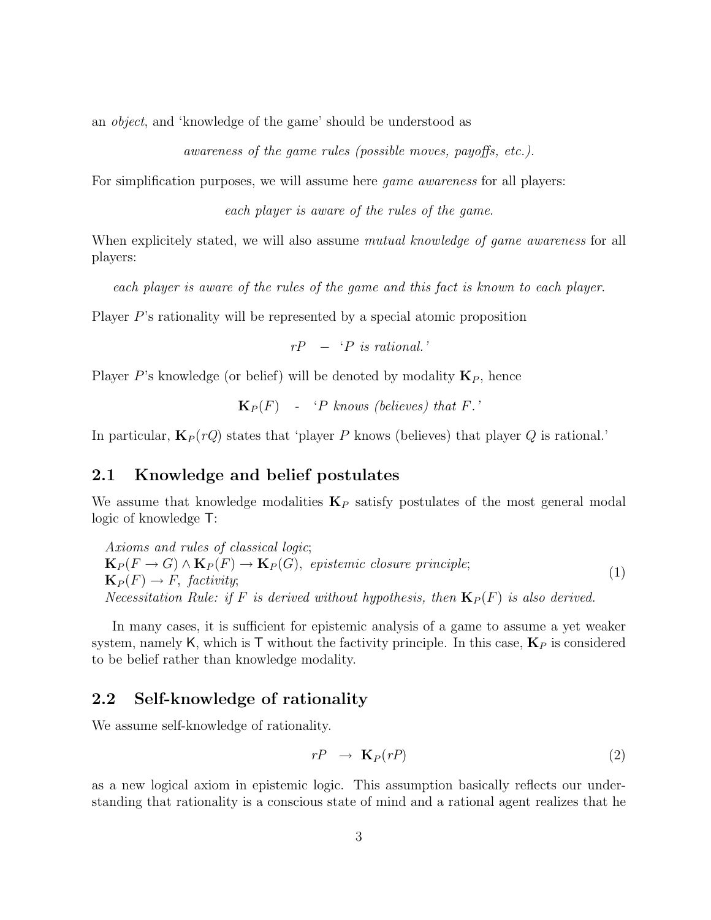an object, and 'knowledge of the game' should be understood as

awareness of the game rules (possible moves, payoffs, etc.).

For simplification purposes, we will assume here *game awareness* for all players:

each player is aware of the rules of the game.

When explicitely stated, we will also assume *mutual knowledge of game awareness* for all players:

each player is aware of the rules of the game and this fact is known to each player.

Player P's rationality will be represented by a special atomic proposition

 $rP - P$  is rational.'

Player P's knowledge (or belief) will be denoted by modality  $\mathbf{K}_P$ , hence

 $\mathbf{K}_P(F)$  - 'P knows (believes) that F.'

In particular,  $\mathbf{K}_P(rQ)$  states that 'player P knows (believes) that player Q is rational.'

#### 2.1 Knowledge and belief postulates

We assume that knowledge modalities  $\mathbf{K}_P$  satisfy postulates of the most general modal logic of knowledge T:

Axioms and rules of classical logic;  $\mathbf{K}_P(F \to G) \wedge \mathbf{K}_P(F) \to \mathbf{K}_P(G)$ , epistemic closure principle;  $\mathbf{K}_P(F) \to F$ , factivity; Necessitation Rule: if F is derived without hypothesis, then  $\mathbf{K}_P(F)$  is also derived. (1)

In many cases, it is sufficient for epistemic analysis of a game to assume a yet weaker system, namely K, which is T without the factivity principle. In this case,  $\mathbf{K}_P$  is considered to be belief rather than knowledge modality.

### 2.2 Self-knowledge of rationality

We assume self-knowledge of rationality.

$$
rP \rightarrow \mathbf{K}_P(rP) \tag{2}
$$

as a new logical axiom in epistemic logic. This assumption basically reflects our understanding that rationality is a conscious state of mind and a rational agent realizes that he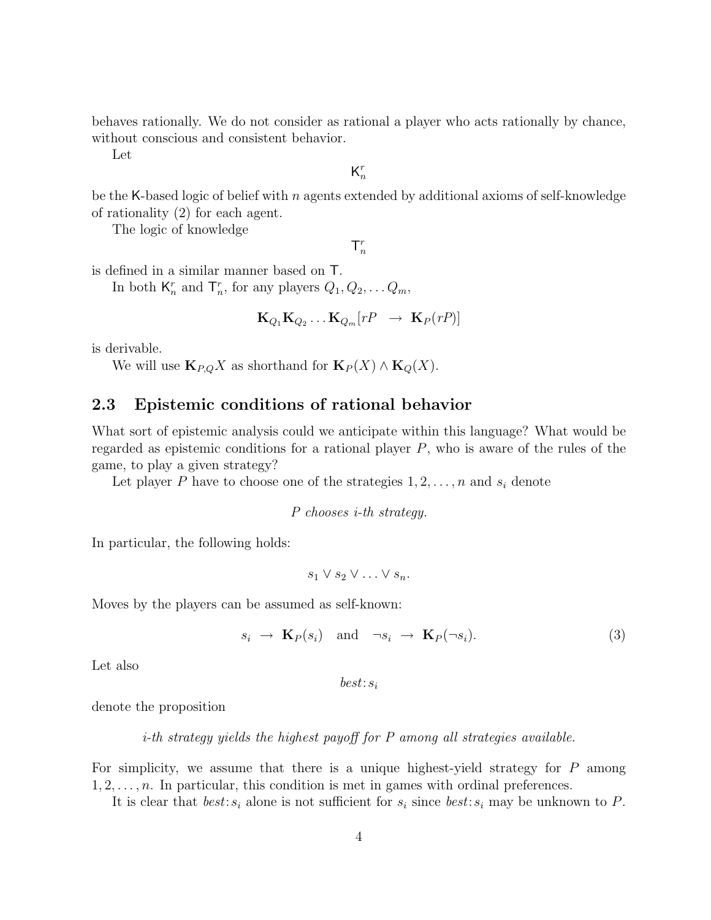behaves rationally. We do not consider as rational a player who acts rationally by chance, without conscious and consistent behavior.

Let

 $\mathsf{K}_n^r$ n

be the K-based logic of belief with n agents extended by additional axioms of self-knowledge of rationality (2) for each agent.

The logic of knowledge

 $\mathsf{T}^r_n$ 

is defined in a similar manner based on T.

In both  $\mathsf{K}_n^r$  and  $\mathsf{T}_n^r$ , for any players  $Q_1, Q_2, \ldots Q_m$ ,

$$
\mathbf{K}_{Q_1}\mathbf{K}_{Q_2}\ldots\mathbf{K}_{Q_m}[rP \rightarrow \mathbf{K}_P(rP)]
$$

is derivable.

We will use  $\mathbf{K}_{P,Q} X$  as shorthand for  $\mathbf{K}_{P} (X) \wedge \mathbf{K}_{Q} (X)$ .

### 2.3 Epistemic conditions of rational behavior

What sort of epistemic analysis could we anticipate within this language? What would be regarded as epistemic conditions for a rational player P, who is aware of the rules of the game, to play a given strategy?

Let player P have to choose one of the strategies  $1, 2, \ldots, n$  and  $s_i$  denote

P chooses i-th strategy.

In particular, the following holds:

 $s_1 \vee s_2 \vee \ldots \vee s_n$ .

Moves by the players can be assumed as self-known:

$$
s_i \to \mathbf{K}_P(s_i) \quad \text{and} \quad \neg s_i \to \mathbf{K}_P(\neg s_i). \tag{3}
$$

Let also

 $best: s_i$ 

denote the proposition

i-th strategy yields the highest payoff for P among all strategies available.

For simplicity, we assume that there is a unique highest-yield strategy for  $P$  among  $1, 2, \ldots, n$ . In particular, this condition is met in games with ordinal preferences.

It is clear that  $best: s_i$  alone is not sufficient for  $s_i$  since  $best: s_i$  may be unknown to P.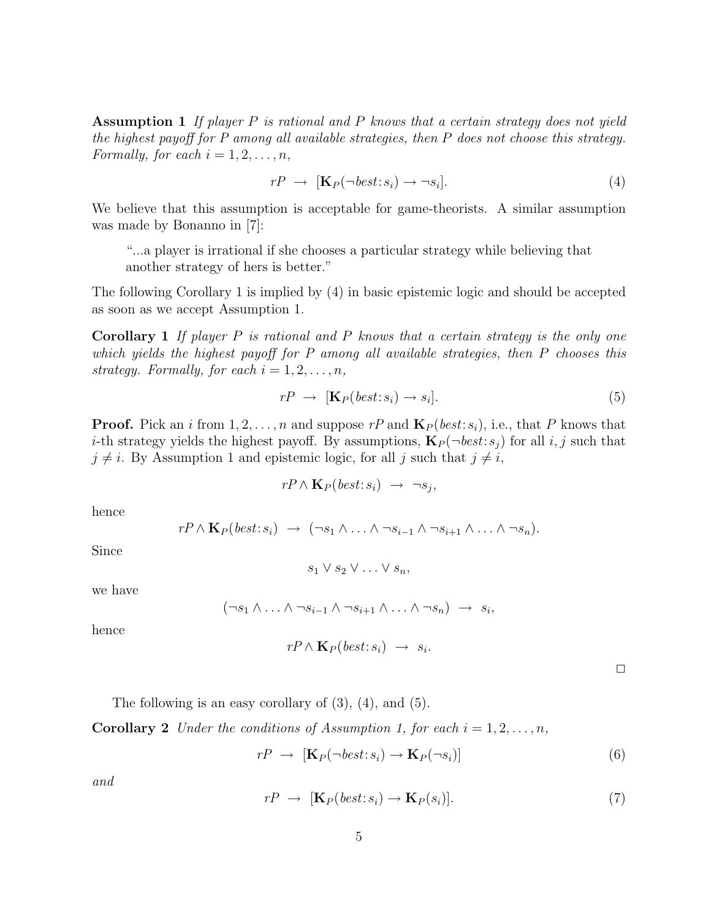Assumption 1 If player  $P$  is rational and  $P$  knows that a certain strategy does not yield the highest payoff for P among all available strategies, then P does not choose this strategy. Formally, for each  $i = 1, 2, \ldots, n$ ,

$$
rP \rightarrow [\mathbf{K}_P(\neg best : s_i) \rightarrow \neg s_i]. \tag{4}
$$

We believe that this assumption is acceptable for game-theorists. A similar assumption was made by Bonanno in [7]:

"...a player is irrational if she chooses a particular strategy while believing that another strategy of hers is better."

The following Corollary 1 is implied by (4) in basic epistemic logic and should be accepted as soon as we accept Assumption 1.

**Corollary 1** If player P is rational and P knows that a certain strategy is the only one which yields the highest payoff for P among all available strategies, then P chooses this strategy. Formally, for each  $i = 1, 2, \ldots, n$ ,

$$
rP \rightarrow [\mathbf{K}_P(\text{best}:s_i) \rightarrow s_i]. \tag{5}
$$

**Proof.** Pick an i from  $1, 2, ..., n$  and suppose rP and  $\mathbf{K}_P(\text{best}:s_i)$ , i.e., that P knows that *i*-th strategy yields the highest payoff. By assumptions,  $\mathbf{K}_P(\neg best:s_i)$  for all i, j such that  $j \neq i$ . By Assumption 1 and epistemic logic, for all j such that  $j \neq i$ ,

$$
rP \wedge \mathbf{K}_P(\text{best}:s_i) \rightarrow \neg s_j,
$$

hence

$$
rP \wedge \mathbf{K}_P(\text{best}:s_i) \rightarrow (\neg s_1 \wedge \ldots \wedge \neg s_{i-1} \wedge \neg s_{i+1} \wedge \ldots \wedge \neg s_n).
$$

Since

$$
s_1 \vee s_2 \vee \ldots \vee s_n,
$$

we have

$$
(\neg s_1 \land \ldots \land \neg s_{i-1} \land \neg s_{i+1} \land \ldots \land \neg s_n) \rightarrow s_i,
$$

hence

$$
rP \wedge \mathbf{K}_P(\text{best}:s_i) \rightarrow s_i.
$$

 $\Box$ 

The following is an easy corollary of  $(3)$ ,  $(4)$ , and  $(5)$ .

**Corollary 2** Under the conditions of Assumption 1, for each  $i = 1, 2, ..., n$ ,

$$
rP \rightarrow [\mathbf{K}_P(\neg best : s_i) \rightarrow \mathbf{K}_P(\neg s_i)] \tag{6}
$$

and

$$
rP \rightarrow [\mathbf{K}_P(\text{best}:s_i) \rightarrow \mathbf{K}_P(s_i)]. \tag{7}
$$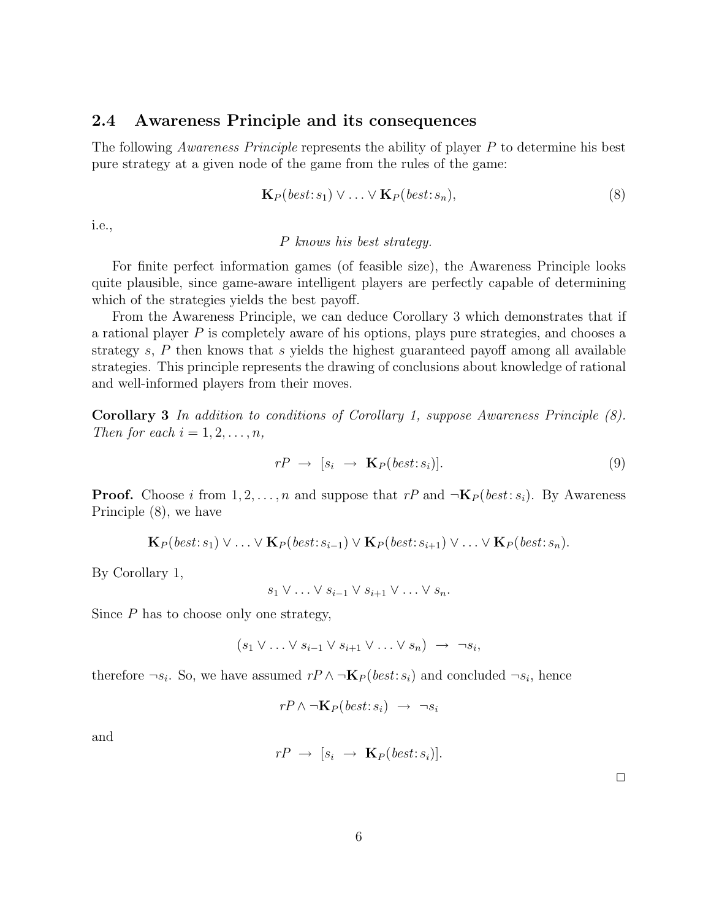#### 2.4 Awareness Principle and its consequences

The following *Awareness Principle* represents the ability of player P to determine his best pure strategy at a given node of the game from the rules of the game:

$$
\mathbf{K}_P(\text{best}:s_1) \lor \dots \lor \mathbf{K}_P(\text{best}:s_n),\tag{8}
$$

i.e.,

#### P knows his best strategy.

For finite perfect information games (of feasible size), the Awareness Principle looks quite plausible, since game-aware intelligent players are perfectly capable of determining which of the strategies yields the best payoff.

From the Awareness Principle, we can deduce Corollary 3 which demonstrates that if a rational player P is completely aware of his options, plays pure strategies, and chooses a strategy  $s$ ,  $P$  then knows that  $s$  yields the highest guaranteed payoff among all available strategies. This principle represents the drawing of conclusions about knowledge of rational and well-informed players from their moves.

Corollary 3 In addition to conditions of Corollary 1, suppose Awareness Principle (8). Then for each  $i = 1, 2, \ldots, n$ ,

$$
rP \rightarrow [s_i \rightarrow \mathbf{K}_P(best:s_i)]. \tag{9}
$$

**Proof.** Choose i from  $1, 2, ..., n$  and suppose that  $rP$  and  $\neg K_P (best : s_i)$ . By Awareness Principle (8), we have

$$
\mathbf{K}_P(\text{best}:s_1) \vee \ldots \vee \mathbf{K}_P(\text{best}:s_{i-1}) \vee \mathbf{K}_P(\text{best}:s_{i+1}) \vee \ldots \vee \mathbf{K}_P(\text{best}:s_n).
$$

By Corollary 1,

$$
s_1 \vee \ldots \vee s_{i-1} \vee s_{i+1} \vee \ldots \vee s_n.
$$

Since  $P$  has to choose only one strategy,

$$
(s_1 \vee \ldots \vee s_{i-1} \vee s_{i+1} \vee \ldots \vee s_n) \rightarrow \neg s_i,
$$

therefore  $\neg s_i$ . So, we have assumed  $r \wedge \neg \mathbf{K}_P(\text{best}:s_i)$  and concluded  $\neg s_i$ , hence

$$
rP \wedge \neg \mathbf{K}_P(\mathit{best}:s_i) \rightarrow \neg s_i
$$

and

$$
rP \rightarrow [s_i \rightarrow \mathbf{K}_P(best:s_i)].
$$

 $\Box$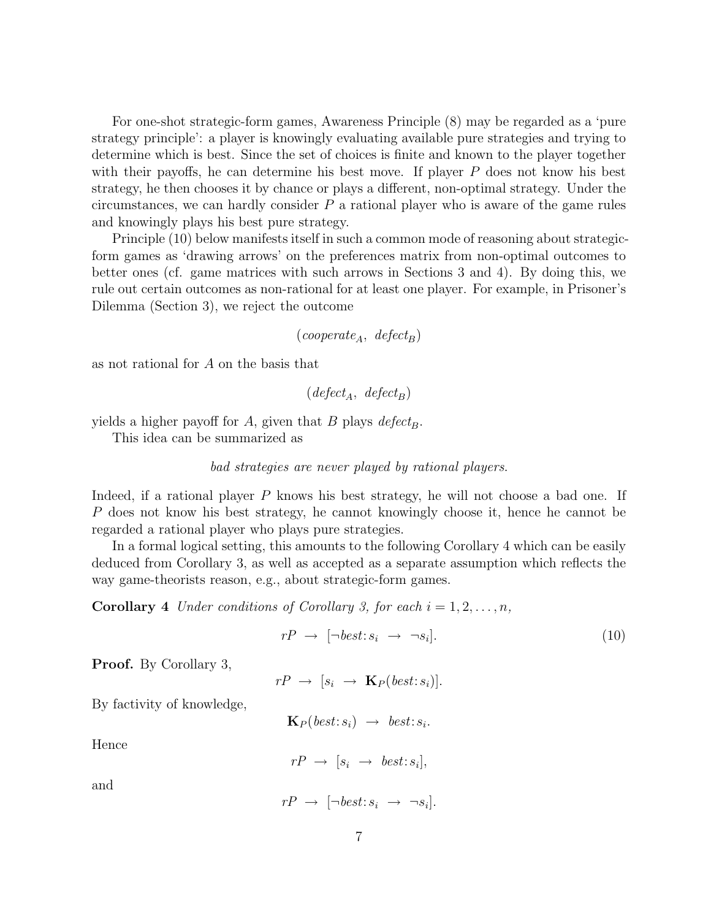For one-shot strategic-form games, Awareness Principle (8) may be regarded as a 'pure strategy principle': a player is knowingly evaluating available pure strategies and trying to determine which is best. Since the set of choices is finite and known to the player together with their payoffs, he can determine his best move. If player  $P$  does not know his best strategy, he then chooses it by chance or plays a different, non-optimal strategy. Under the circumstances, we can hardly consider  $P$  a rational player who is aware of the game rules and knowingly plays his best pure strategy.

Principle (10) below manifests itself in such a common mode of reasoning about strategicform games as 'drawing arrows' on the preferences matrix from non-optimal outcomes to better ones (cf. game matrices with such arrows in Sections 3 and 4). By doing this, we rule out certain outcomes as non-rational for at least one player. For example, in Prisoner's Dilemma (Section 3), we reject the outcome

 $(cooperate_A, defect_B)$ 

as not rational for A on the basis that

 $(defect<sub>A</sub>, defect<sub>B</sub>)$ 

yields a higher payoff for A, given that B plays  $defect_B$ .

This idea can be summarized as

#### bad strategies are never played by rational players.

Indeed, if a rational player P knows his best strategy, he will not choose a bad one. If P does not know his best strategy, he cannot knowingly choose it, hence he cannot be regarded a rational player who plays pure strategies.

In a formal logical setting, this amounts to the following Corollary 4 which can be easily deduced from Corollary 3, as well as accepted as a separate assumption which reflects the way game-theorists reason, e.g., about strategic-form games.

**Corollary 4** Under conditions of Corollary 3, for each  $i = 1, 2, ..., n$ ,

$$
rP \rightarrow [\neg best: s_i \rightarrow \neg s_i]. \tag{10}
$$

Proof. By Corollary 3,

$$
rP \rightarrow [s_i \rightarrow \mathbf{K}_P(best:s_i)].
$$

By factivity of knowledge,

 $\mathbf{K}_P(\textit{best}:s_i) \rightarrow \textit{best}:s_i.$ 

Hence

$$
rP \rightarrow [s_i \rightarrow best:s_i],
$$

and

$$
rP \rightarrow [\neg best : s_i \rightarrow \neg s_i].
$$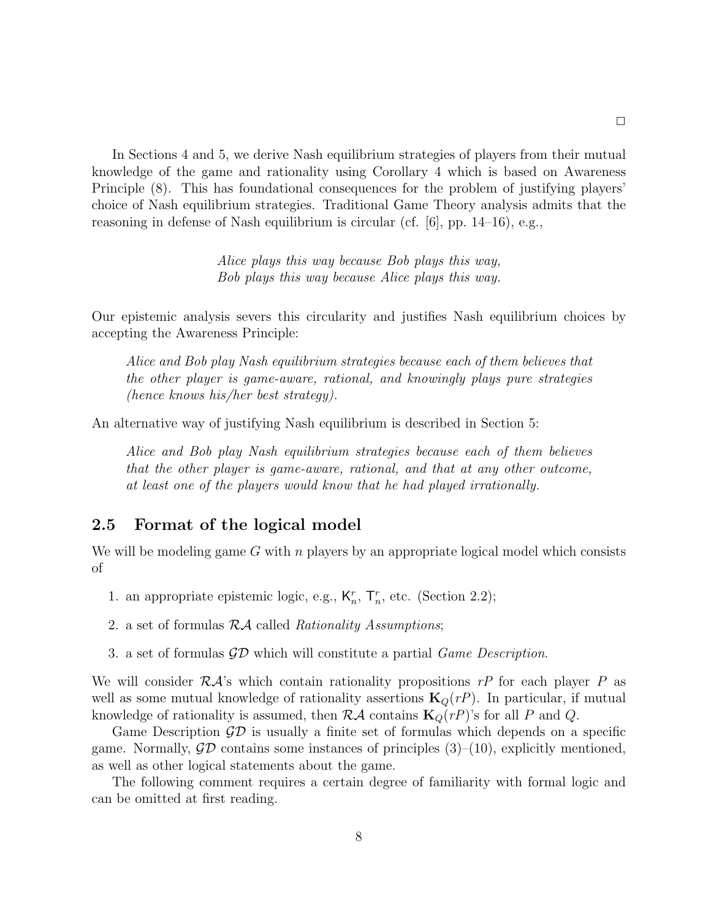In Sections 4 and 5, we derive Nash equilibrium strategies of players from their mutual knowledge of the game and rationality using Corollary 4 which is based on Awareness Principle (8). This has foundational consequences for the problem of justifying players' choice of Nash equilibrium strategies. Traditional Game Theory analysis admits that the reasoning in defense of Nash equilibrium is circular (cf.  $[6]$ , pp. 14–16), e.g.,

> Alice plays this way because Bob plays this way, Bob plays this way because Alice plays this way.

Our epistemic analysis severs this circularity and justifies Nash equilibrium choices by accepting the Awareness Principle:

Alice and Bob play Nash equilibrium strategies because each of them believes that the other player is game-aware, rational, and knowingly plays pure strategies (hence knows his/her best strategy).

An alternative way of justifying Nash equilibrium is described in Section 5:

Alice and Bob play Nash equilibrium strategies because each of them believes that the other player is game-aware, rational, and that at any other outcome, at least one of the players would know that he had played irrationally.

### 2.5 Format of the logical model

We will be modeling game G with n players by an appropriate logical model which consists of

- 1. an appropriate epistemic logic, e.g.,  $K_n^r$ ,  $T_n^r$ , etc. (Section 2.2);
- 2. a set of formulas  $R\mathcal{A}$  called Rationality Assumptions;
- 3. a set of formulas  $\mathcal{GD}$  which will constitute a partial *Game Description*.

We will consider  $R\mathcal{A}$ 's which contain rationality propositions rP for each player P as well as some mutual knowledge of rationality assertions  $\mathbf{K}_Q(r)$ . In particular, if mutual knowledge of rationality is assumed, then  $R\mathcal{A}$  contains  $\mathbf{K}_Q(r)$ 's for all P and Q.

Game Description  $\mathcal{G}D$  is usually a finite set of formulas which depends on a specific game. Normally,  $\mathcal{G}\mathcal{D}$  contains some instances of principles (3)–(10), explicitly mentioned, as well as other logical statements about the game.

The following comment requires a certain degree of familiarity with formal logic and can be omitted at first reading.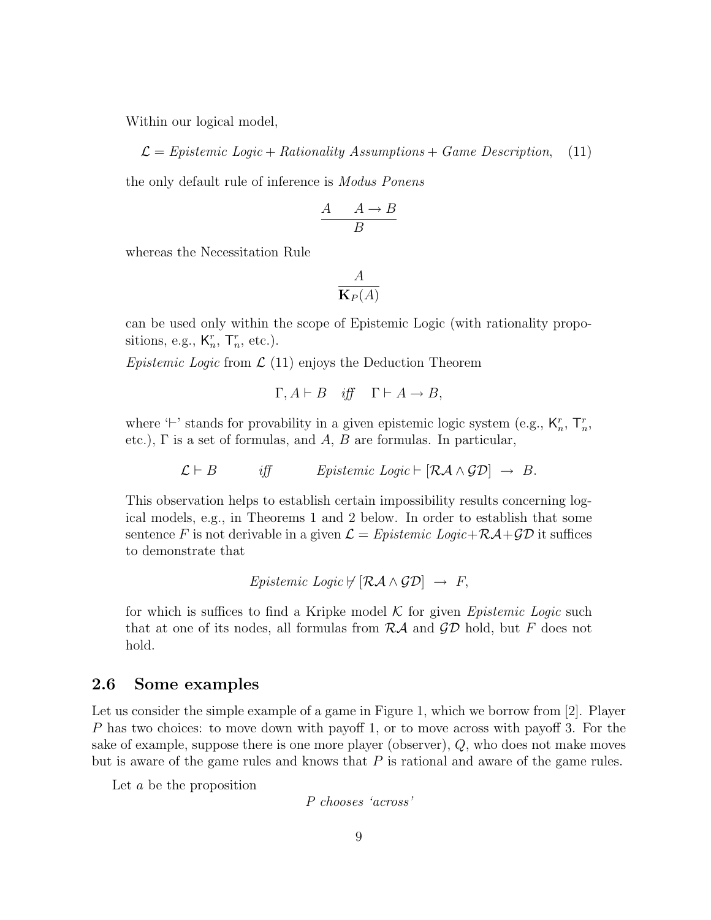Within our logical model,

 $\mathcal{L} =$  Epistemic Logic + Rationality Assumptions + Game Description, (11)

the only default rule of inference is Modus Ponens

$$
\frac{A \quad A \to B}{B}
$$

whereas the Necessitation Rule

$$
\frac{A}{\mathbf{K}_P(A)}
$$

can be used only within the scope of Epistemic Logic (with rationality propositions, e.g.,  $K_n^r$ ,  $T_n^r$ , etc.).

Epistemic Logic from  $\mathcal{L}(11)$  enjoys the Deduction Theorem

$$
\Gamma, A \vdash B \quad \text{iff} \quad \Gamma \vdash A \to B,
$$

where  $\vdash$  stands for provability in a given epistemic logic system (e.g.,  $\mathsf{K}_n^r$ ,  $\mathsf{T}_n^r$ , etc.),  $\Gamma$  is a set of formulas, and  $A, B$  are formulas. In particular,

 $\mathcal{L} \vdash B$  iff Epistemic Logic  $\vdash [\mathcal{R} \mathcal{A} \wedge \mathcal{G} \mathcal{D}] \rightarrow B$ .

This observation helps to establish certain impossibility results concerning logical models, e.g., in Theorems 1 and 2 below. In order to establish that some sentence F is not derivable in a given  $\mathcal{L} = Epistemic\ Logic + \mathcal{RA} + \mathcal{GD}$  it suffices to demonstrate that

$$
Epistemic\ Logic \nvdash [\mathcal{R}\mathcal{A}\wedge\mathcal{G}\mathcal{D}] \rightarrow F,
$$

for which is suffices to find a Kripke model  $\mathcal K$  for given *Epistemic Logic* such that at one of its nodes, all formulas from  $R\mathcal{A}$  and  $\mathcal{GD}$  hold, but F does not hold.

#### 2.6 Some examples

Let us consider the simple example of a game in Figure 1, which we borrow from [2]. Player P has two choices: to move down with payoff 1, or to move across with payoff 3. For the sake of example, suppose there is one more player (observer), Q, who does not make moves but is aware of the game rules and knows that  $P$  is rational and aware of the game rules.

Let a be the proposition

P chooses 'across'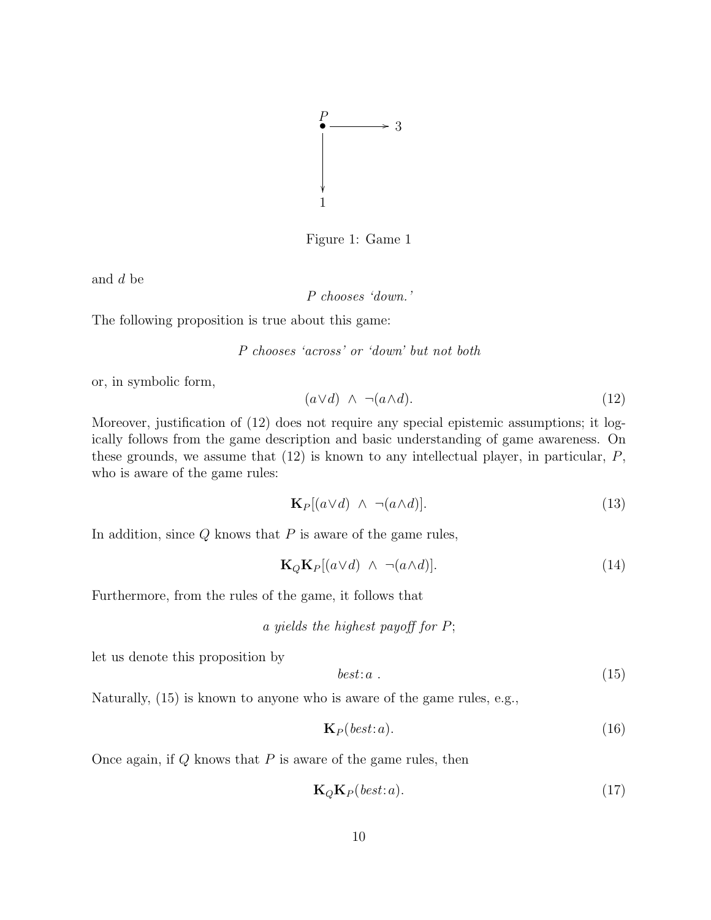

Figure 1: Game 1

and d be

P chooses 'down.'

The following proposition is true about this game:

P chooses 'across' or 'down' but not both

or, in symbolic form,

$$
(a \lor d) \land \neg(a \land d). \tag{12}
$$

Moreover, justification of (12) does not require any special epistemic assumptions; it logically follows from the game description and basic understanding of game awareness. On these grounds, we assume that  $(12)$  is known to any intellectual player, in particular,  $P$ , who is aware of the game rules:

$$
\mathbf{K}_P[(a \lor d) \land \neg(a \land d)].\tag{13}
$$

In addition, since  $Q$  knows that  $P$  is aware of the game rules,

$$
\mathbf{K}_Q \mathbf{K}_P[(a \lor d) \land \neg(a \land d)].\tag{14}
$$

Furthermore, from the rules of the game, it follows that

a yields the highest payoff for  $P$ ;

let us denote this proposition by

$$
best: a
$$
\n<sup>(15)</sup>

Naturally, (15) is known to anyone who is aware of the game rules, e.g.,

$$
\mathbf{K}_P(\text{best}:a). \tag{16}
$$

Once again, if  $Q$  knows that  $P$  is aware of the game rules, then

$$
\mathbf{K}_Q \mathbf{K}_P(\text{best}:a). \tag{17}
$$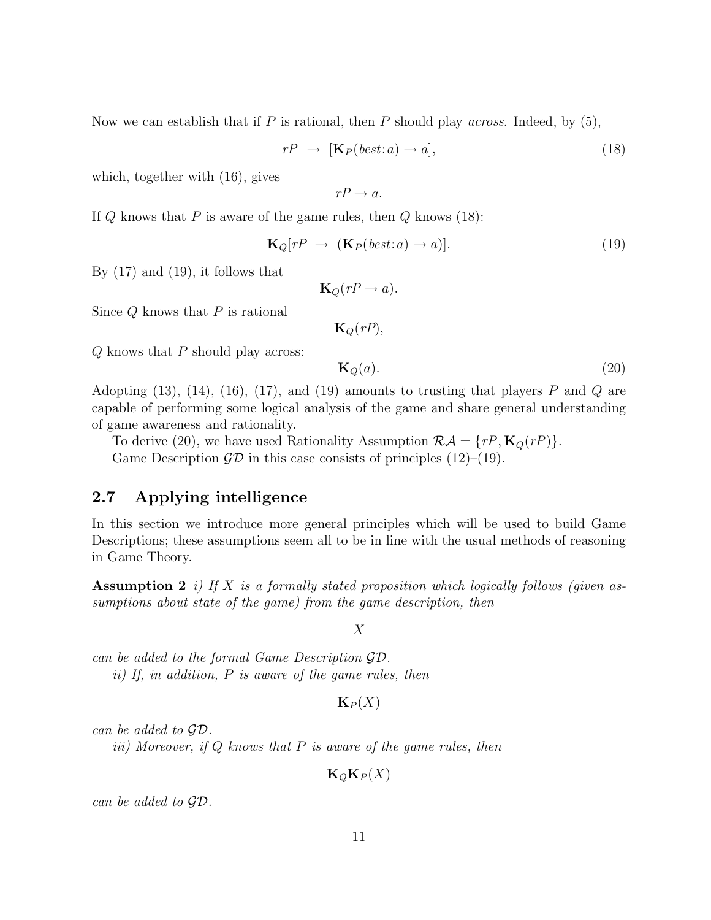Now we can establish that if P is rational, then P should play *across*. Indeed, by  $(5)$ ,

$$
rP \rightarrow [\mathbf{K}_P(best: a) \rightarrow a], \tag{18}
$$

which, together with (16), gives

$$
rP \to a.
$$

If  $Q$  knows that  $P$  is aware of the game rules, then  $Q$  knows (18):

$$
\mathbf{K}_Q[rP \rightarrow (\mathbf{K}_P(best:a) \rightarrow a)]. \tag{19}
$$

By  $(17)$  and  $(19)$ , it follows that

$$
\mathbf{K}_Q(rP \to a).
$$

Since  $Q$  knows that  $P$  is rational

 $\mathbf{K}_Q(rP)$ ,

 $Q$  knows that  $P$  should play across:

$$
\mathbf{K}_Q(a). \tag{20}
$$

Adopting (13), (14), (16), (17), and (19) amounts to trusting that players  $P$  and  $Q$  are capable of performing some logical analysis of the game and share general understanding of game awareness and rationality.

To derive (20), we have used Rationality Assumption  $\mathcal{R}A = \{rP, \mathbf{K}_Q(rP)\}\.$ Game Description  $\mathcal{GD}$  in this case consists of principles (12)–(19).

### 2.7 Applying intelligence

In this section we introduce more general principles which will be used to build Game Descriptions; these assumptions seem all to be in line with the usual methods of reasoning in Game Theory.

**Assumption 2** i) If X is a formally stated proposition which logically follows (given assumptions about state of the game) from the game description, then

X

can be added to the formal Game Description GD. ii) If, in addition, P is aware of the game rules, then

 $\mathbf{K}_P(X)$ 

can be added to GD.

iii) Moreover, if  $Q$  knows that  $P$  is aware of the game rules, then

 $\mathbf{K}_Q\mathbf{K}_P(X)$ 

can be added to GD.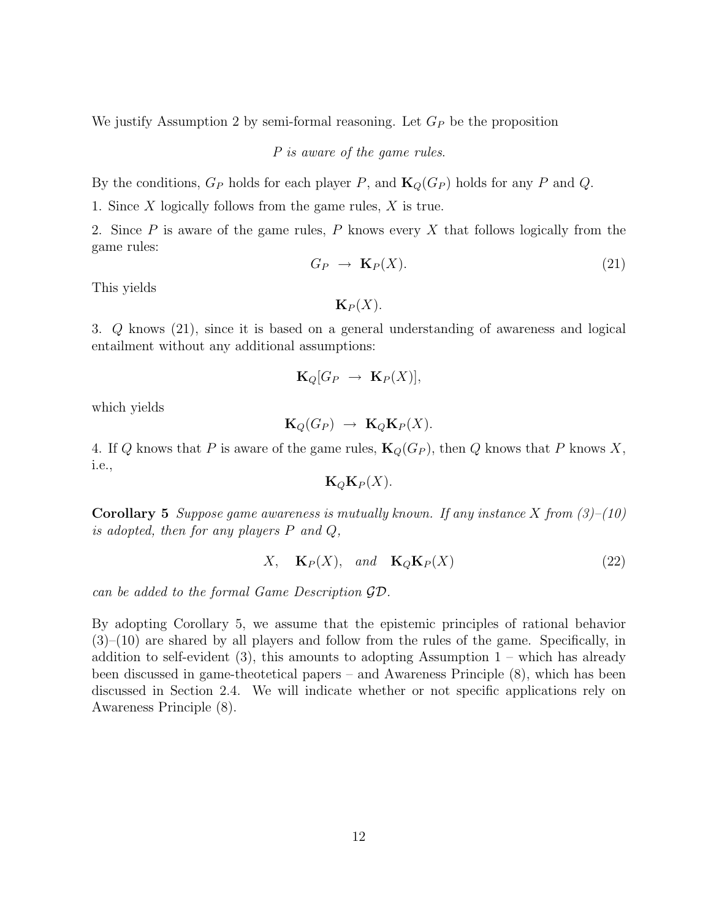We justify Assumption 2 by semi-formal reasoning. Let  $G_P$  be the proposition

P is aware of the game rules.

By the conditions,  $G_P$  holds for each player P, and  $\mathbf{K}_Q(G_P)$  holds for any P and Q.

1. Since X logically follows from the game rules, X is true.

2. Since  $P$  is aware of the game rules,  $P$  knows every  $X$  that follows logically from the game rules:

$$
G_P \to \mathbf{K}_P(X). \tag{21}
$$

This yields

 $\mathbf{K}_P(X)$ .

3. Q knows (21), since it is based on a general understanding of awareness and logical entailment without any additional assumptions:

$$
\mathbf{K}_Q[G_P \ \to \ \mathbf{K}_P(X)],
$$

which yields

$$
\mathbf{K}_Q(G_P) \rightarrow \mathbf{K}_Q \mathbf{K}_P(X).
$$

4. If Q knows that P is aware of the game rules,  $\mathbf{K}_Q(G_P)$ , then Q knows that P knows X, i.e.,

$$
\mathbf{K}_{Q}\mathbf{K}_{P}(X).
$$

**Corollary 5** Suppose game awareness is mutually known. If any instance X from  $(3)$ – $(10)$ is adopted, then for any players  $P$  and  $Q$ ,

$$
X, \quad \mathbf{K}_P(X), \quad and \quad \mathbf{K}_Q \mathbf{K}_P(X) \tag{22}
$$

can be added to the formal Game Description GD.

By adopting Corollary 5, we assume that the epistemic principles of rational behavior  $(3)$ – $(10)$  are shared by all players and follow from the rules of the game. Specifically, in addition to self-evident  $(3)$ , this amounts to adopting Assumption  $1$  – which has already been discussed in game-theotetical papers – and Awareness Principle (8), which has been discussed in Section 2.4. We will indicate whether or not specific applications rely on Awareness Principle (8).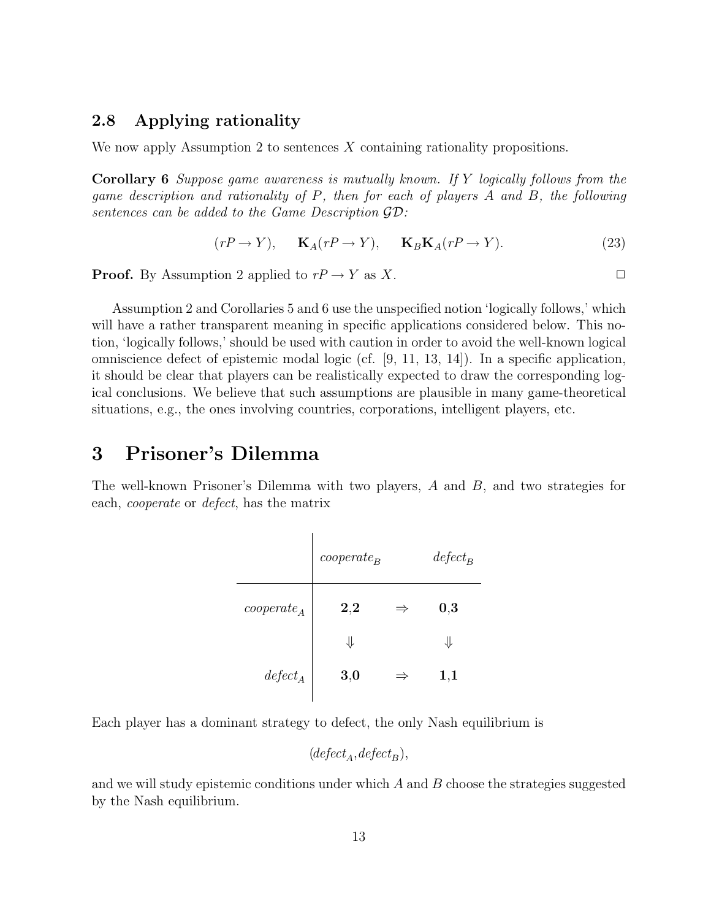### 2.8 Applying rationality

We now apply Assumption 2 to sentences  $X$  containing rationality propositions.

Corollary 6 Suppose game awareness is mutually known. If Y logically follows from the game description and rationality of P, then for each of players A and B, the following sentences can be added to the Game Description GD:

$$
(rP \to Y), \quad \mathbf{K}_A(rP \to Y), \quad \mathbf{K}_B \mathbf{K}_A(rP \to Y). \tag{23}
$$

**Proof.** By Assumption 2 applied to  $rP \to Y$  as X.

Assumption 2 and Corollaries 5 and 6 use the unspecified notion 'logically follows,' which will have a rather transparent meaning in specific applications considered below. This notion, 'logically follows,' should be used with caution in order to avoid the well-known logical omniscience defect of epistemic modal logic (cf. [9, 11, 13, 14]). In a specific application, it should be clear that players can be realistically expected to draw the corresponding logical conclusions. We believe that such assumptions are plausible in many game-theoretical situations, e.g., the ones involving countries, corporations, intelligent players, etc.

### 3 Prisoner's Dilemma

The well-known Prisoner's Dilemma with two players, A and B, and two strategies for each, cooperate or defect, has the matrix

|                                          | $cooperate_B$ |               | $defect_B$ |
|------------------------------------------|---------------|---------------|------------|
| $cooperate_A$                            | 2,2           | $\Rightarrow$ | 0,3        |
|                                          | ⇓             |               | ⇓          |
| $\operatorname{\operatorname{defect}}_A$ | 3,0           | $\Rightarrow$ | $1,\!1$    |

Each player has a dominant strategy to defect, the only Nash equilibrium is

$$
(defect _{A},defect _{B}),
$$

and we will study epistemic conditions under which  $A$  and  $B$  choose the strategies suggested by the Nash equilibrium.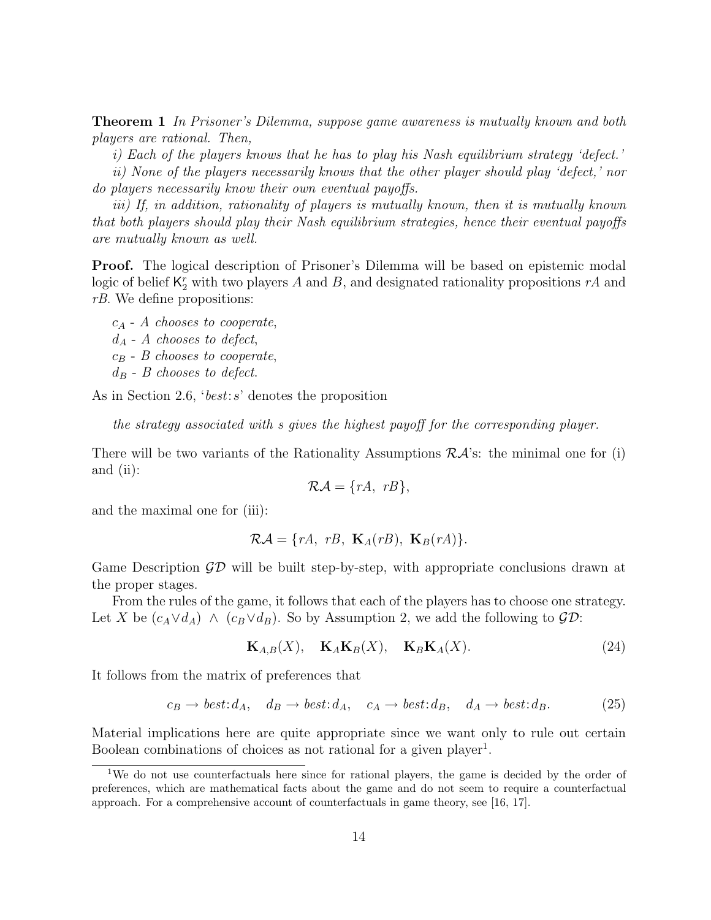**Theorem 1** In Prisoner's Dilemma, suppose game awareness is mutually known and both players are rational. Then,

i) Each of the players knows that he has to play his Nash equilibrium strategy 'defect.'

ii) None of the players necessarily knows that the other player should play 'defect,' nor do players necessarily know their own eventual payoffs.

iii) If, in addition, rationality of players is mutually known, then it is mutually known that both players should play their Nash equilibrium strategies, hence their eventual payoffs are mutually known as well.

Proof. The logical description of Prisoner's Dilemma will be based on epistemic modal logic of belief  $\mathsf{K}_2^r$  with two players A and B, and designated rationality propositions  $rA$  and rB. We define propositions:

 $c_A$  - A chooses to cooperate,  $d_A$  - A chooses to defect,  $c_B$  - B chooses to cooperate,  $d_B$  - B chooses to defect.

As in Section 2.6, 'best:s' denotes the proposition

the strategy associated with s gives the highest payoff for the corresponding player.

There will be two variants of the Rationality Assumptions  $R\mathcal{A}$ 's: the minimal one for (i) and (ii):

$$
\mathcal{RA} = \{rA, rB\},\
$$

and the maximal one for (iii):

$$
\mathcal{RA} = \{rA, rB, \mathbf{K}_A(rB), \mathbf{K}_B(rA)\}.
$$

Game Description  $\mathcal{GD}$  will be built step-by-step, with appropriate conclusions drawn at the proper stages.

From the rules of the game, it follows that each of the players has to choose one strategy. Let X be  $(c_A \vee d_A) \wedge (c_B \vee d_B)$ . So by Assumption 2, we add the following to  $\mathcal{GD}$ :

$$
\mathbf{K}_{A,B}(X), \quad \mathbf{K}_A \mathbf{K}_B(X), \quad \mathbf{K}_B \mathbf{K}_A(X). \tag{24}
$$

It follows from the matrix of preferences that

$$
c_B \to best: d_A, \quad d_B \to best: d_A, \quad c_A \to best: d_B, \quad d_A \to best: d_B. \tag{25}
$$

Material implications here are quite appropriate since we want only to rule out certain Boolean combinations of choices as not rational for a given player<sup>1</sup>.

<sup>&</sup>lt;sup>1</sup>We do not use counterfactuals here since for rational players, the game is decided by the order of preferences, which are mathematical facts about the game and do not seem to require a counterfactual approach. For a comprehensive account of counterfactuals in game theory, see [16, 17].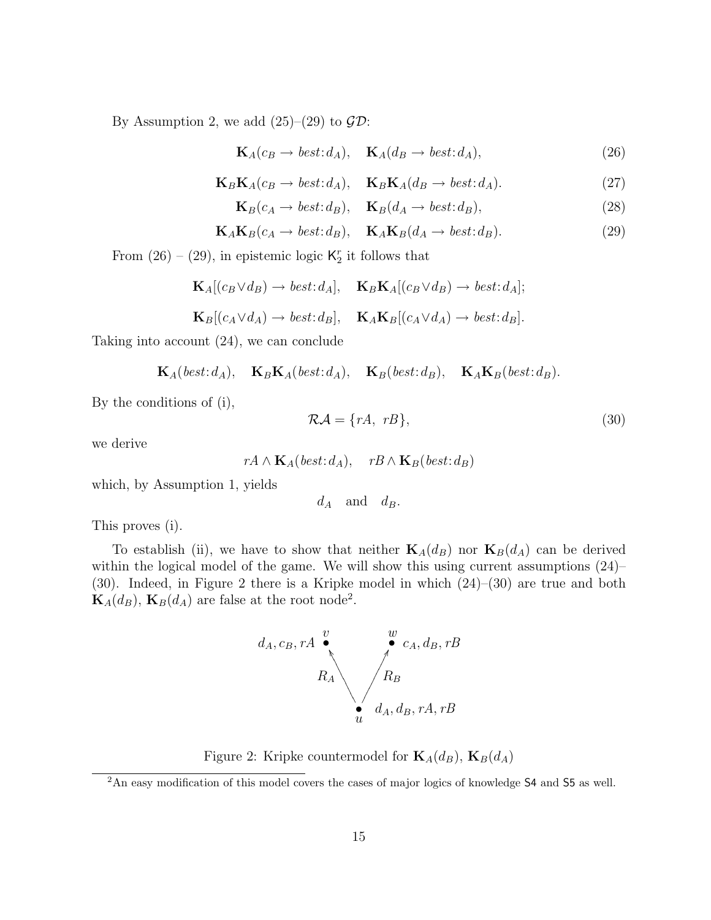By Assumption 2, we add  $(25)-(29)$  to  $\mathcal{GD}$ :

$$
\mathbf{K}_{A}(c_{B} \to best:d_{A}), \quad \mathbf{K}_{A}(d_{B} \to best:d_{A}), \tag{26}
$$

$$
\mathbf{K}_B \mathbf{K}_A(c_B \to best: d_A), \quad \mathbf{K}_B \mathbf{K}_A(d_B \to best: d_A). \tag{27}
$$

$$
\mathbf{K}_B(c_A \to best: d_B), \quad \mathbf{K}_B(d_A \to best: d_B), \tag{28}
$$

$$
\mathbf{K}_A \mathbf{K}_B(c_A \to best: d_B), \quad \mathbf{K}_A \mathbf{K}_B(d_A \to best: d_B). \tag{29}
$$

From  $(26) - (29)$ , in epistemic logic  $\mathsf{K}_2^r$  it follows that

$$
\mathbf{K}_{A}[(c_{B} \vee d_{B}) \to best:d_{A}], \quad \mathbf{K}_{B}\mathbf{K}_{A}[(c_{B} \vee d_{B}) \to best:d_{A}];
$$
  

$$
\mathbf{K}_{B}[(c_{A} \vee d_{A}) \to best:d_{B}], \quad \mathbf{K}_{A}\mathbf{K}_{B}[(c_{A} \vee d_{A}) \to best:d_{B}].
$$

Taking into account (24), we can conclude

$$
\mathbf{K}_A(\mathit{best}:d_A), \quad \mathbf{K}_B\mathbf{K}_A(\mathit{best}:d_A), \quad \mathbf{K}_B(\mathit{best}:d_B), \quad \mathbf{K}_A\mathbf{K}_B(\mathit{best}:d_B).
$$

By the conditions of (i),

$$
\mathcal{RA} = \{rA, rB\},\tag{30}
$$

we derive

$$
rA \wedge \mathbf{K}_A(\mathit{best}:d_A), \quad rB \wedge \mathbf{K}_B(\mathit{best}:d_B)
$$

which, by Assumption 1, yields

$$
d_A \quad \text{and} \quad d_B.
$$

This proves (i).

To establish (ii), we have to show that neither  $\mathbf{K}_{A}(d_{B})$  nor  $\mathbf{K}_{B}(d_{A})$  can be derived within the logical model of the game. We will show this using current assumptions  $(24)$ – (30). Indeed, in Figure 2 there is a Kripke model in which (24)–(30) are true and both  $\mathbf{K}_{A}(d_{B}), \mathbf{K}_{B}(d_{A})$  are false at the root node<sup>2</sup>.



Figure 2: Kripke countermodel for  $\mathbf{K}_{A}(d_{B})$ ,  $\mathbf{K}_{B}(d_{A})$ 

<sup>2</sup>An easy modification of this model covers the cases of major logics of knowledge S4 and S5 as well.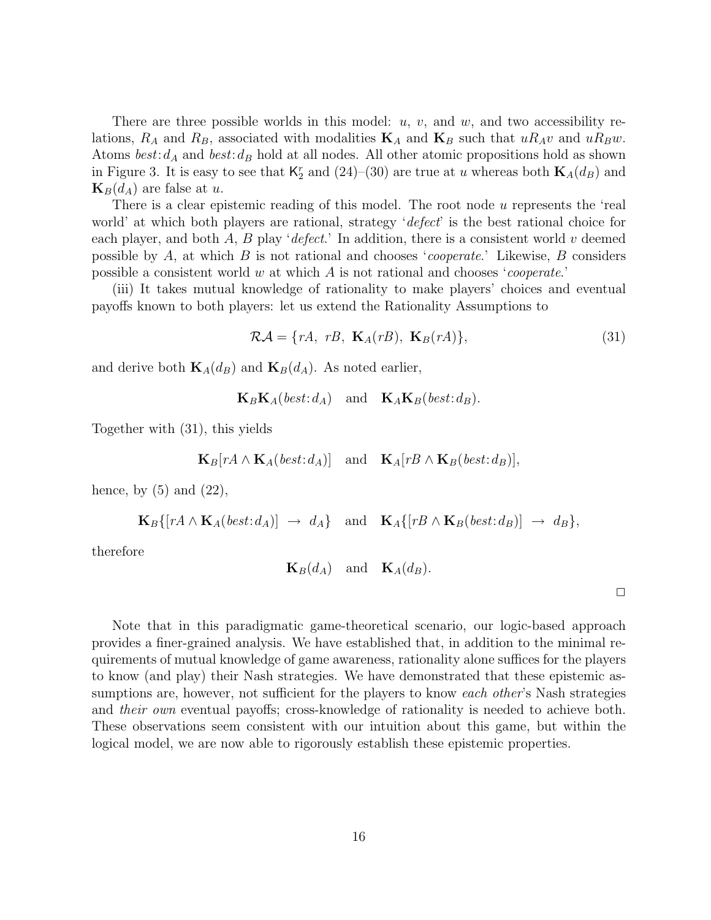There are three possible worlds in this model:  $u, v$ , and  $w$ , and two accessibility relations,  $R_A$  and  $R_B$ , associated with modalities  $\mathbf{K}_A$  and  $\mathbf{K}_B$  such that  $uR_Av$  and  $uR_Bw$ . Atoms  $best: d_A$  and  $best: d_B$  hold at all nodes. All other atomic propositions hold as shown in Figure 3. It is easy to see that  $K_2^r$  and  $(24)$ – $(30)$  are true at u whereas both  $\mathbf{K}_A(d_B)$  and  $\mathbf{K}_B(d_A)$  are false at u.

There is a clear epistemic reading of this model. The root node u represents the 'real world' at which both players are rational, strategy '*defect*' is the best rational choice for each player, and both A, B play 'defect.' In addition, there is a consistent world v deemed possible by A, at which B is not rational and chooses 'cooperate.' Likewise, B considers possible a consistent world w at which  $A$  is not rational and chooses '*cooperate*.'

(iii) It takes mutual knowledge of rationality to make players' choices and eventual payoffs known to both players: let us extend the Rationality Assumptions to

$$
\mathcal{RA} = \{rA, rB, \mathbf{K}_A(rB), \mathbf{K}_B(rA)\},\tag{31}
$$

and derive both  $\mathbf{K}_{A}(d_{B})$  and  $\mathbf{K}_{B}(d_{A})$ . As noted earlier,

 $\mathbf{K}_B \mathbf{K}_A(\text{best}:d_A)$  and  $\mathbf{K}_A \mathbf{K}_B(\text{best}:d_B)$ .

Together with (31), this yields

$$
\mathbf{K}_B[rA \wedge \mathbf{K}_A(\mathit{best}:d_A)] \quad \text{and} \quad \mathbf{K}_A[rB \wedge \mathbf{K}_B(\mathit{best}:d_B)],
$$

hence, by  $(5)$  and  $(22)$ ,

$$
\mathbf{K}_B\{[rA\wedge\mathbf{K}_A(\mathit{best}:d_A)] \rightarrow d_A\} \quad \text{and} \quad \mathbf{K}_A\{[rB\wedge\mathbf{K}_B(\mathit{best}:d_B)] \rightarrow d_B\},\
$$

therefore

$$
\mathbf{K}_B(d_A) \quad \text{and} \quad \mathbf{K}_A(d_B).
$$

 $\Box$ 

Note that in this paradigmatic game-theoretical scenario, our logic-based approach provides a finer-grained analysis. We have established that, in addition to the minimal requirements of mutual knowledge of game awareness, rationality alone suffices for the players to know (and play) their Nash strategies. We have demonstrated that these epistemic assumptions are, however, not sufficient for the players to know *each other's* Nash strategies and their own eventual payoffs; cross-knowledge of rationality is needed to achieve both. These observations seem consistent with our intuition about this game, but within the logical model, we are now able to rigorously establish these epistemic properties.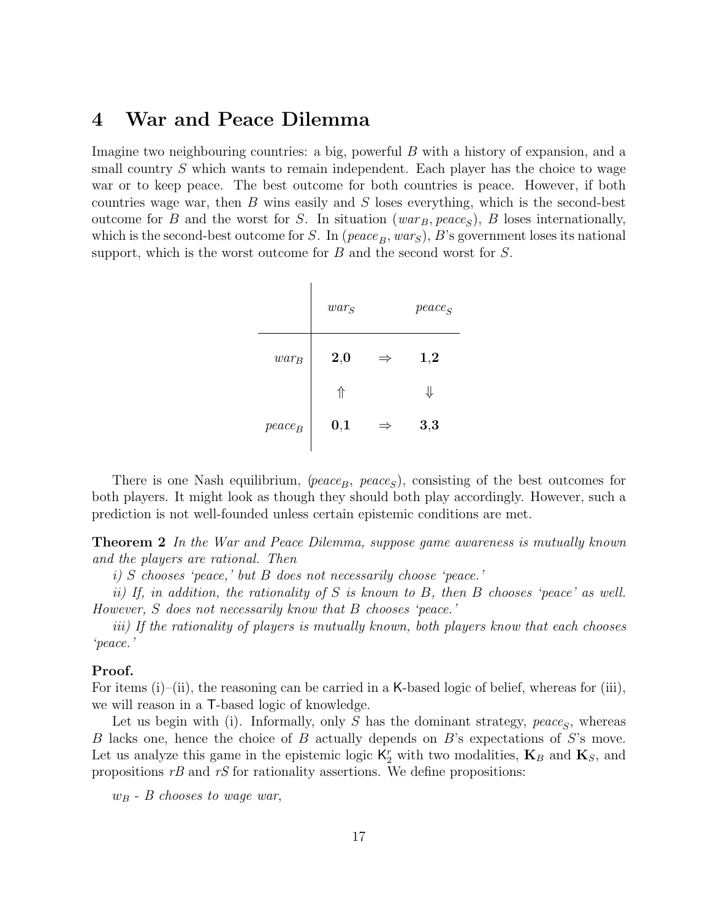# 4 War and Peace Dilemma

Imagine two neighbouring countries: a big, powerful B with a history of expansion, and a small country S which wants to remain independent. Each player has the choice to wage war or to keep peace. The best outcome for both countries is peace. However, if both countries wage war, then  $B$  wins easily and  $S$  loses everything, which is the second-best outcome for B and the worst for S. In situation  $(var_B, peace_S)$ , B loses internationally, which is the second-best outcome for S. In (peace  $_B$ , wars), B's government loses its national support, which is the worst outcome for B and the second worst for S.

|           | $\mathit{war}_S$ |               | $peace_S$ |
|-----------|------------------|---------------|-----------|
| $war_B$   | 2,0              | $\Rightarrow$ | 1,2       |
|           | ⇑                |               | ⇓         |
| $peace_B$ | 0,1              | $\Rightarrow$ | 3,3       |

There is one Nash equilibrium, ( $peace_B$ ,  $peace_S$ ), consisting of the best outcomes for both players. It might look as though they should both play accordingly. However, such a prediction is not well-founded unless certain epistemic conditions are met.

Theorem 2 In the War and Peace Dilemma, suppose game awareness is mutually known and the players are rational. Then

i) S chooses 'peace,' but B does not necessarily choose 'peace.'

ii) If, in addition, the rationality of S is known to B, then B chooses 'peace' as well. However, S does not necessarily know that B chooses 'peace.'

iii) If the rationality of players is mutually known, both players know that each chooses 'peace.'

#### Proof.

For items (i)–(ii), the reasoning can be carried in a K-based logic of belief, whereas for (iii), we will reason in a T-based logic of knowledge.

Let us begin with (i). Informally, only  $S$  has the dominant strategy, peace<sub>S</sub>, whereas B lacks one, hence the choice of B actually depends on B's expectations of S's move. Let us analyze this game in the epistemic logic  $K_2^r$  with two modalities,  $\mathbf{K}_B$  and  $\mathbf{K}_S$ , and propositions  $rB$  and  $rS$  for rationality assertions. We define propositions:

 $w_B$  - B chooses to wage war,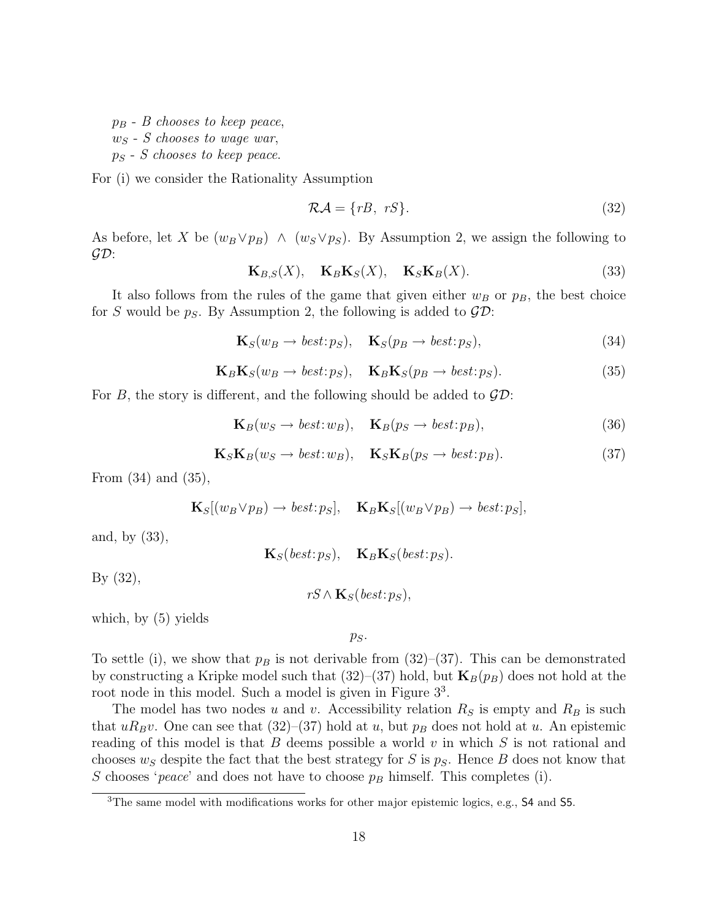$p_B$  - B chooses to keep peace,  $w_S$  - S chooses to wage war,  $p_S$  - S chooses to keep peace.

For (i) we consider the Rationality Assumption

$$
\mathcal{RA} = \{rB, \ rS\}.\tag{32}
$$

As before, let X be  $(w_B \vee p_B) \wedge (w_S \vee p_S)$ . By Assumption 2, we assign the following to  $\mathcal{GD}$ :

$$
\mathbf{K}_{B,S}(X), \quad \mathbf{K}_B \mathbf{K}_S(X), \quad \mathbf{K}_S \mathbf{K}_B(X). \tag{33}
$$

It also follows from the rules of the game that given either  $w_B$  or  $p_B$ , the best choice for S would be  $p_S$ . By Assumption 2, the following is added to  $\mathcal{GD}$ :

$$
\mathbf{K}_{S}(w_{B} \to best:p_{S}), \quad \mathbf{K}_{S}(p_{B} \to best:p_{S}), \tag{34}
$$

$$
\mathbf{K}_B \mathbf{K}_S(w_B \to best: p_S), \quad \mathbf{K}_B \mathbf{K}_S(p_B \to best: p_S). \tag{35}
$$

For B, the story is different, and the following should be added to  $\mathcal{GD}$ :

$$
\mathbf{K}_B(w_S \to best:w_B), \quad \mathbf{K}_B(p_S \to best:p_B), \tag{36}
$$

$$
\mathbf{K}_S \mathbf{K}_B(w_S \to best; w_B), \quad \mathbf{K}_S \mathbf{K}_B(p_S \to best; p_B). \tag{37}
$$

From (34) and (35),

$$
\mathbf{K}_{S}[(w_{B} \vee p_{B}) \to best : p_{S}], \quad \mathbf{K}_{B} \mathbf{K}_{S}[(w_{B} \vee p_{B}) \to best : p_{S}],
$$

and, by (33),

 $$ 

By (32),

 $rS \wedge \mathbf{K}_S(\text{best}:p_S),$ 

which, by (5) yields

 $p_S$ .

To settle (i), we show that  $p_B$  is not derivable from (32)–(37). This can be demonstrated by constructing a Kripke model such that  $(32)$ – $(37)$  hold, but  $\mathbf{K}_B(p_B)$  does not hold at the root node in this model. Such a model is given in Figure  $3^3$ .

The model has two nodes u and v. Accessibility relation  $R<sub>S</sub>$  is empty and  $R<sub>B</sub>$  is such that  $uR_Bv$ . One can see that (32)–(37) hold at u, but  $p_B$  does not hold at u. An epistemic reading of this model is that  $B$  deems possible a world  $v$  in which  $S$  is not rational and chooses  $w<sub>S</sub>$  despite the fact that the best strategy for S is  $p<sub>S</sub>$ . Hence B does not know that S chooses 'peace' and does not have to choose  $p_B$  himself. This completes (i).

<sup>3</sup>The same model with modifications works for other major epistemic logics, e.g., S4 and S5.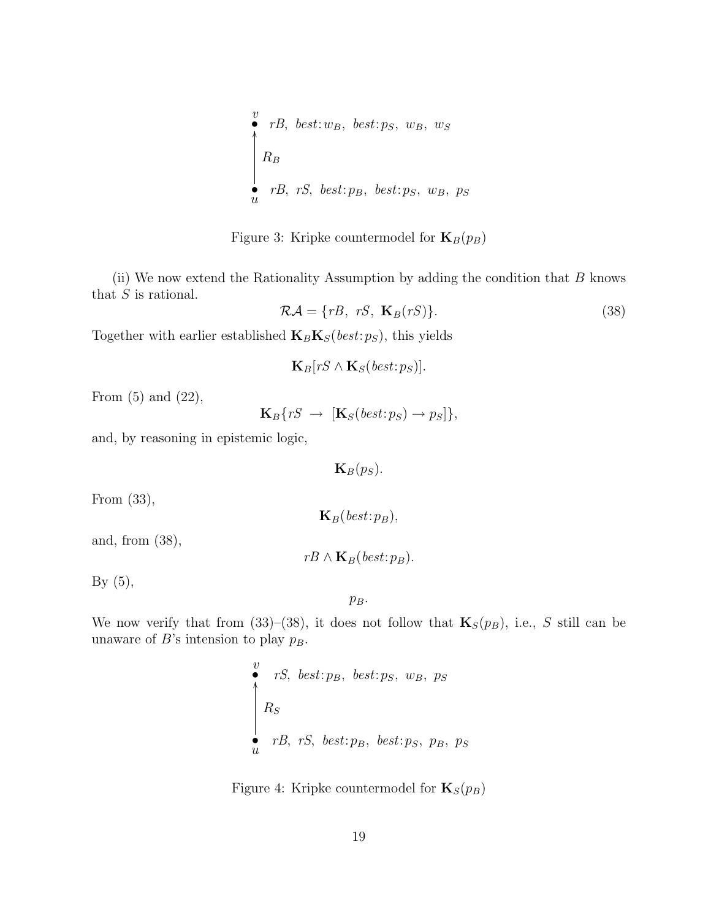$$
\begin{array}{ll}\n\overset{v}{\bullet} & rB, \text{ best}: w_B, \text{ best}: p_S, \text{ w}_B, \text{ w}_S \\
\Bigg\downarrow R_B & \\
\overset{\bullet}{u} & rB, \text{ rS, best}: p_B, \text{ best}: p_S, \text{ w}_B, \text{ p}_S\n\end{array}
$$

Figure 3: Kripke countermodel for  $\mathbf{K}_B(p_B)$ 

(ii) We now extend the Rationality Assumption by adding the condition that  $B$  knows that  $S$  is rational.

$$
\mathcal{RA} = \{rB, \ rS, \ \mathbf{K}_B(rS)\}.\tag{38}
$$

Together with earlier established  $\mathbf{K}_B \mathbf{K}_S(\mathit{best:} p_S)$ , this yields

$$
\mathbf{K}_B[rS \wedge \mathbf{K}_S(\mathit{best}:p_S)].
$$

From  $(5)$  and  $(22)$ ,

$$
\mathbf{K}_B\{rS \rightarrow [\mathbf{K}_S(\mathit{best}:p_S) \rightarrow p_S]\},\
$$

and, by reasoning in epistemic logic,

 $\mathbf{K}_B(p_S)$ .

From (33),

and, from (38),

 $rB \wedge \mathbf{K}_B(\text{best}:p_B).$ 

 $\mathbf{K}_B(\text{best}:p_B),$ 

By  $(5)$ ,

 $p_B$ .

We now verify that from (33)–(38), it does not follow that  $\mathbf{K}_{S}(p_{B})$ , i.e., S still can be unaware of B's intension to play  $p_B$ .

$$
\begin{array}{ll}\n\overset{v}{\bullet} & rS, \text{ best: } p, \text{ best: } p, \text{ w}, \text{ p} \text{ s} \\
R_S & \\
rB, \text{ rS, best: } p, \text{ best: } p, \text{ p}, \text{ p}\text{ s}\n\end{array}
$$

Figure 4: Kripke countermodel for  $\mathbf{K}_{S}(p_{B})$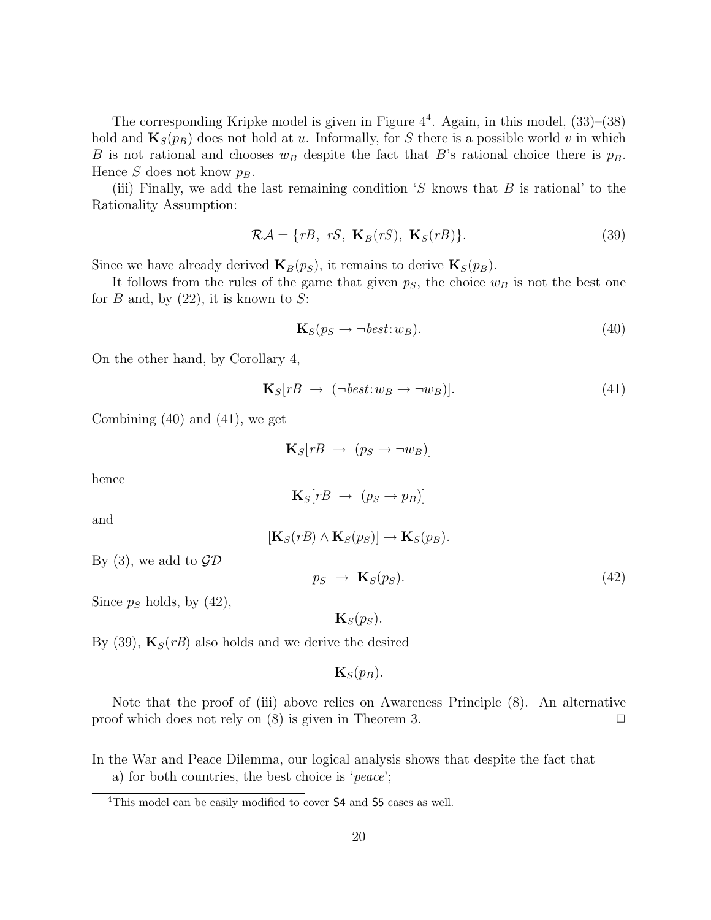The corresponding Kripke model is given in Figure  $4^4$ . Again, in this model,  $(33)$ – $(38)$ hold and  $\mathbf{K}_{S}(p_{B})$  does not hold at u. Informally, for S there is a possible world v in which B is not rational and chooses  $w_B$  despite the fact that B's rational choice there is  $p_B$ . Hence S does not know  $p_B$ .

(iii) Finally, we add the last remaining condition  $S$  knows that  $B$  is rational' to the Rationality Assumption:

$$
\mathcal{RA} = \{rB, \ rS, \ \mathbf{K}_B(rS), \ \mathbf{K}_S(rB)\}.\tag{39}
$$

Since we have already derived  $\mathbf{K}_B(p_S)$ , it remains to derive  $\mathbf{K}_S(p_B)$ .

It follows from the rules of the game that given  $p<sub>S</sub>$ , the choice  $w<sub>B</sub>$  is not the best one for B and, by  $(22)$ , it is known to S:

$$
\mathbf{K}_S(p_S \to \neg best \colon w_B). \tag{40}
$$

On the other hand, by Corollary 4,

$$
\mathbf{K}_S[rB \to (\neg best: w_B \to \neg w_B)].\tag{41}
$$

Combining (40) and (41), we get

$$
\mathbf{K}_S[rB \rightarrow (p_S \rightarrow \neg w_B)]
$$

hence

$$
\mathbf{K}_S[rB \rightarrow (p_S \rightarrow p_B)]
$$

and

$$
[\mathbf{K}_S(rB) \wedge \mathbf{K}_S(p_S)] \rightarrow \mathbf{K}_S(p_B).
$$

By (3), we add to  $\mathcal{GD}$ 

$$
p_S \rightarrow \mathbf{K}_S(p_S). \tag{42}
$$

Since  $p<sub>S</sub>$  holds, by (42),

 $\mathbf{K}_{S}(p_{S}).$ 

By (39),  $\mathbf{K}_{S}(rB)$  also holds and we derive the desired

 $\mathbf{K}_{S}(p_{B}).$ 

Note that the proof of (iii) above relies on Awareness Principle (8). An alternative proof which does not rely on  $(8)$  is given in Theorem 3.

In the War and Peace Dilemma, our logical analysis shows that despite the fact that a) for both countries, the best choice is 'peace';

<sup>4</sup>This model can be easily modified to cover S4 and S5 cases as well.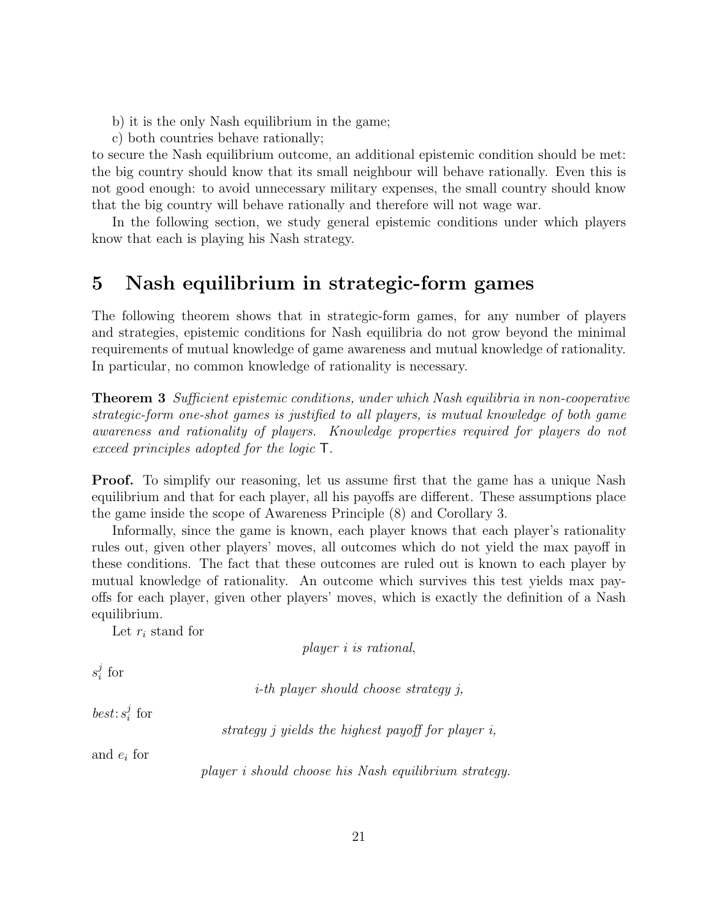- b) it is the only Nash equilibrium in the game;
- c) both countries behave rationally;

to secure the Nash equilibrium outcome, an additional epistemic condition should be met: the big country should know that its small neighbour will behave rationally. Even this is not good enough: to avoid unnecessary military expenses, the small country should know that the big country will behave rationally and therefore will not wage war.

In the following section, we study general epistemic conditions under which players know that each is playing his Nash strategy.

## 5 Nash equilibrium in strategic-form games

The following theorem shows that in strategic-form games, for any number of players and strategies, epistemic conditions for Nash equilibria do not grow beyond the minimal requirements of mutual knowledge of game awareness and mutual knowledge of rationality. In particular, no common knowledge of rationality is necessary.

**Theorem 3** Sufficient epistemic conditions, under which Nash equilibria in non-cooperative strategic-form one-shot games is justified to all players, is mutual knowledge of both game awareness and rationality of players. Knowledge properties required for players do not exceed principles adopted for the logic T.

**Proof.** To simplify our reasoning, let us assume first that the game has a unique Nash equilibrium and that for each player, all his payoffs are different. These assumptions place the game inside the scope of Awareness Principle (8) and Corollary 3.

Informally, since the game is known, each player knows that each player's rationality rules out, given other players' moves, all outcomes which do not yield the max payoff in these conditions. The fact that these outcomes are ruled out is known to each player by mutual knowledge of rationality. An outcome which survives this test yields max payoffs for each player, given other players' moves, which is exactly the definition of a Nash equilibrium.

Let  $r_i$  stand for

player i is rational,

 $s_i^j$  $\frac{j}{i}$  for

i-th player should choose strategy j,

 $best: s_i^j$  $\frac{j}{i}$  for

strategy j yields the highest payoff for player i,

and  $e_i$  for

player i should choose his Nash equilibrium strategy.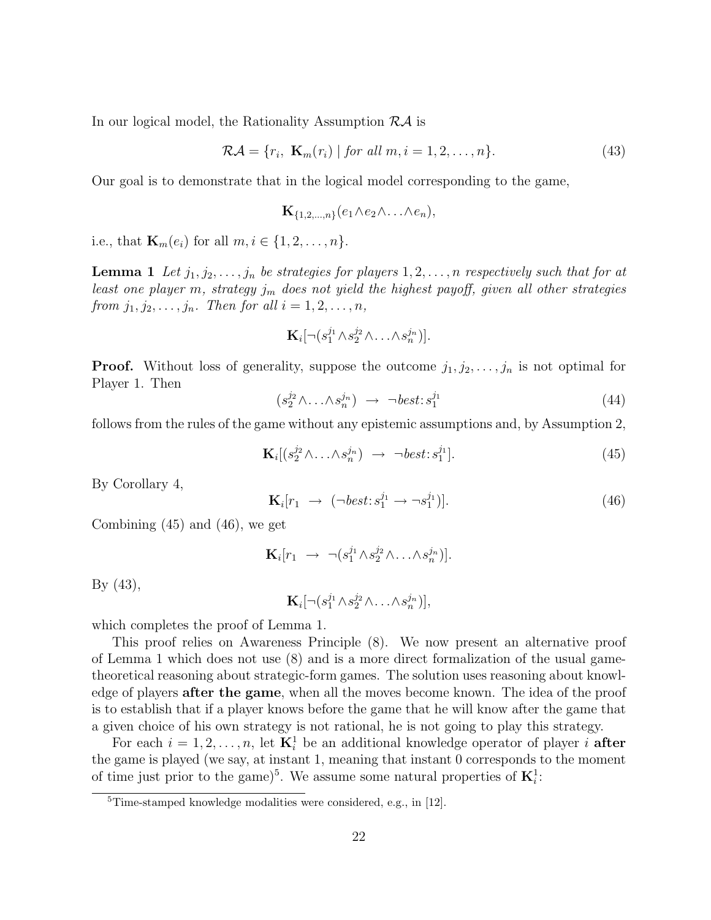In our logical model, the Rationality Assumption  $R\mathcal{A}$  is

$$
\mathcal{RA} = \{r_i, \ \mathbf{K}_m(r_i) \mid \text{for all } m, i = 1, 2, \dots, n\}.
$$

Our goal is to demonstrate that in the logical model corresponding to the game,

$$
\mathbf{K}_{\{1,2,\ldots,n\}}(e_1 \wedge e_2 \wedge \ldots \wedge e_n),
$$

i.e., that  $\mathbf{K}_m(e_i)$  for all  $m, i \in \{1, 2, ..., n\}$ .

**Lemma 1** Let  $j_1, j_2, \ldots, j_n$  be strategies for players  $1, 2, \ldots, n$  respectively such that for at least one player m, strategy  $j_m$  does not yield the highest payoff, given all other strategies from  $j_1, j_2, \ldots, j_n$ . Then for all  $i = 1, 2, \ldots, n$ ,

$$
\mathbf{K}_i[\neg(s_1^{j_1}\wedge s_2^{j_2}\wedge \ldots \wedge s_n^{j_n})].
$$

**Proof.** Without loss of generality, suppose the outcome  $j_1, j_2, \ldots, j_n$  is not optimal for Player 1. Then

$$
(s_2^{j_2} \wedge \ldots \wedge s_n^{j_n}) \rightarrow \neg best : s_1^{j_1} \tag{44}
$$

follows from the rules of the game without any epistemic assumptions and, by Assumption 2,

$$
\mathbf{K}_{i}[(s_{2}^{j_{2}}\wedge\ldots\wedge s_{n}^{j_{n}}) \rightarrow \neg best:s_{1}^{j_{1}}].
$$
\n(45)

By Corollary 4,

$$
\mathbf{K}_i[r_1 \ \to \ (\neg best : s_1^{j_1} \to \neg s_1^{j_1})].\tag{46}
$$

Combining (45) and (46), we get

$$
\mathbf{K}_i[r_1 \rightarrow \neg(s_1^{j_1} \wedge s_2^{j_2} \wedge \ldots \wedge s_n^{j_n})].
$$

By (43),

$$
\mathbf{K}_i[\neg(s_1^{j_1}\wedge s_2^{j_2}\wedge \ldots \wedge s_n^{j_n})],
$$

which completes the proof of Lemma 1.

This proof relies on Awareness Principle (8). We now present an alternative proof of Lemma 1 which does not use (8) and is a more direct formalization of the usual gametheoretical reasoning about strategic-form games. The solution uses reasoning about knowledge of players after the game, when all the moves become known. The idea of the proof is to establish that if a player knows before the game that he will know after the game that a given choice of his own strategy is not rational, he is not going to play this strategy.

For each  $i = 1, 2, ..., n$ , let  $\mathbf{K}_i^1$  be an additional knowledge operator of player i after the game is played (we say, at instant 1, meaning that instant 0 corresponds to the moment of time just prior to the game)<sup>5</sup>. We assume some natural properties of  $\mathbf{K}_i^1$ :

 $5$ Time-stamped knowledge modalities were considered, e.g., in [12].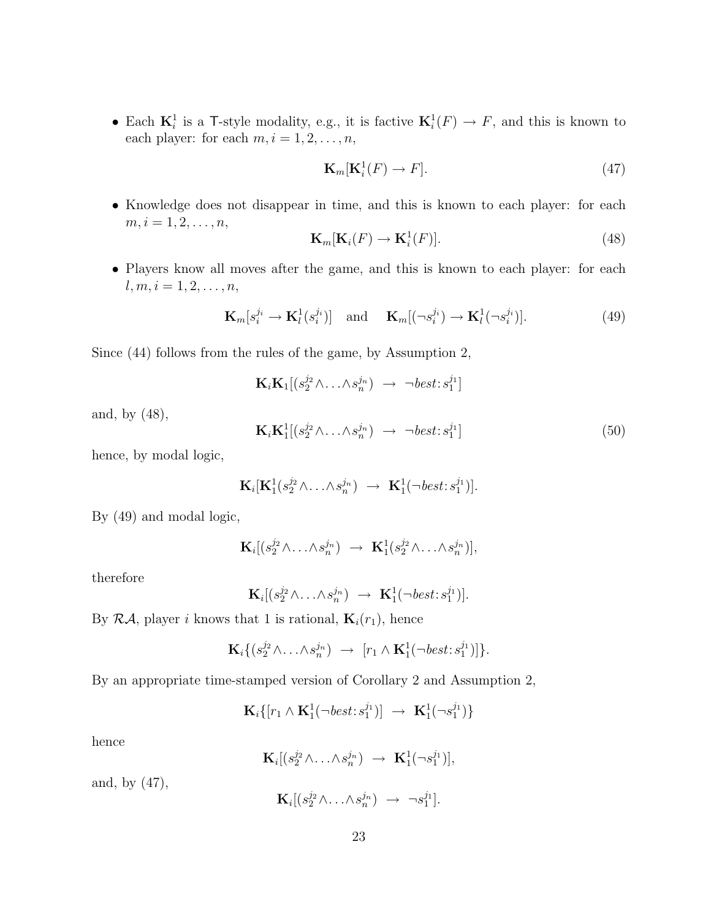• Each  $\mathbf{K}_i^1$  is a T-style modality, e.g., it is factive  $\mathbf{K}_i^1(F) \to F$ , and this is known to each player: for each  $m, i = 1, 2, \ldots, n$ ,

$$
\mathbf{K}_m[\mathbf{K}_i^1(F) \to F].\tag{47}
$$

• Knowledge does not disappear in time, and this is known to each player: for each  $m, i = 1, 2, \ldots, n,$ 

$$
\mathbf{K}_m[\mathbf{K}_i(F) \to \mathbf{K}_i^1(F)].
$$
\n(48)

• Players know all moves after the game, and this is known to each player: for each  $l, m, i = 1, 2, \ldots, n,$ 

$$
\mathbf{K}_m[s_i^{j_i} \to \mathbf{K}_l^1(s_i^{j_i})] \quad \text{and} \quad \mathbf{K}_m[(\neg s_i^{j_i}) \to \mathbf{K}_l^1(\neg s_i^{j_i})]. \tag{49}
$$

Since (44) follows from the rules of the game, by Assumption 2,

$$
\mathbf{K}_i \mathbf{K}_1[(s_2^{j_2} \wedge \ldots \wedge s_n^{j_n}) \rightarrow \neg best : s_1^{j_1}]
$$

and, by (48),

$$
\mathbf{K}_i \mathbf{K}_1^1 [(s_2^{j_2} \wedge \ldots \wedge s_n^{j_n}) \rightarrow \neg best : s_1^{j_1}]
$$
\n
$$
(50)
$$

hence, by modal logic,

$$
\mathbf{K}_i[\mathbf{K}_1^1(s_2^{j_2}\wedge\ldots\wedge s_n^{j_n}) \rightarrow \mathbf{K}_1^1(\neg best:s_1^{j_1})].
$$

By (49) and modal logic,

$$
\mathbf{K}_i[(s_2^{j_2}\wedge \ldots \wedge s_n^{j_n}) \rightarrow \mathbf{K}_1^1(s_2^{j_2}\wedge \ldots \wedge s_n^{j_n})],
$$

therefore

$$
\mathbf{K}_i[(s_2^{j_2}\wedge\ldots\wedge s_n^{j_n}) \rightarrow \mathbf{K}_1^1(\neg best:s_1^{j_1})].
$$

By  $\mathcal{R}A$ , player i knows that 1 is rational,  $\mathbf{K}_i(r_1)$ , hence

$$
\mathbf{K}_i\{(s_2^{j_2}\wedge\ldots\wedge s_n^{j_n}) \rightarrow [r_1\wedge \mathbf{K}_1^1(\neg best:s_1^{j_1})]\}.
$$

By an appropriate time-stamped version of Corollary 2 and Assumption 2,

$$
\mathbf{K}_i\{[r_1\wedge\mathbf{K}_1^1(\neg\text{best}:s_1^{j_1})]\rightarrow\ \mathbf{K}_1^1(\neg s_1^{j_1})\}
$$

hence

$$
\mathbf{K}_i[(s_2^{j_2}\wedge\ldots\wedge s_n^{j_n}) \rightarrow \mathbf{K}_1^1(\neg s_1^{j_1})],
$$

and, by (47),

$$
\mathbf{K}_i[(s_2^{j_2}\wedge\ldots\wedge s_n^{j_n}) \rightarrow \neg s_1^{j_1}].
$$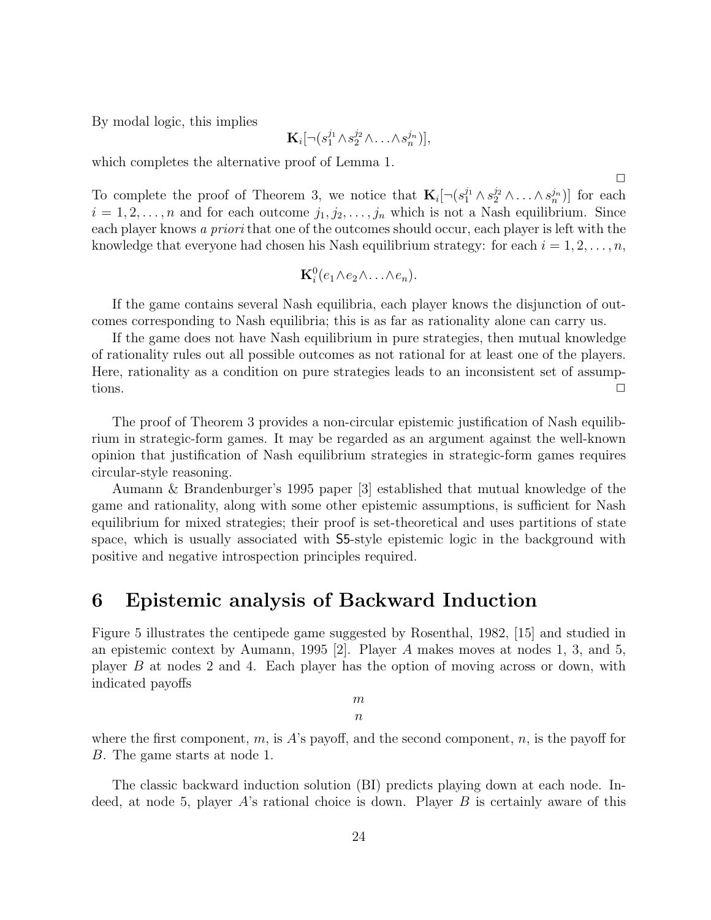By modal logic, this implies

$$
\mathbf{K}_i[\neg(s_1^{j_1}\wedge s_2^{j_2}\wedge \ldots \wedge s_n^{j_n})],
$$

which completes the alternative proof of Lemma 1.

To complete the proof of Theorem 3, we notice that  $\mathbf{K}_i[\neg(s_1^{j_1}\wedge s_2^{j_2}\wedge \ldots \wedge s_n^{j_n})]$  for each  $i = 1, 2, \ldots, n$  and for each outcome  $j_1, j_2, \ldots, j_n$  which is not a Nash equilibrium. Since each player knows a priori that one of the outcomes should occur, each player is left with the knowledge that everyone had chosen his Nash equilibrium strategy: for each  $i = 1, 2, \ldots, n$ ,

$$
\mathbf{K}_i^0(e_1 \wedge e_2 \wedge \ldots \wedge e_n).
$$

If the game contains several Nash equilibria, each player knows the disjunction of outcomes corresponding to Nash equilibria; this is as far as rationality alone can carry us.

If the game does not have Nash equilibrium in pure strategies, then mutual knowledge of rationality rules out all possible outcomes as not rational for at least one of the players. Here, rationality as a condition on pure strategies leads to an inconsistent set of assumptions.  $\Box$ 

The proof of Theorem 3 provides a non-circular epistemic justification of Nash equilibrium in strategic-form games. It may be regarded as an argument against the well-known opinion that justification of Nash equilibrium strategies in strategic-form games requires circular-style reasoning.

Aumann & Brandenburger's 1995 paper [3] established that mutual knowledge of the game and rationality, along with some other epistemic assumptions, is sufficient for Nash equilibrium for mixed strategies; their proof is set-theoretical and uses partitions of state space, which is usually associated with S5-style epistemic logic in the background with positive and negative introspection principles required.

### 6 Epistemic analysis of Backward Induction

Figure 5 illustrates the centipede game suggested by Rosenthal, 1982, [15] and studied in an epistemic context by Aumann, 1995 [2]. Player A makes moves at nodes 1, 3, and 5, player B at nodes 2 and 4. Each player has the option of moving across or down, with indicated payoffs

> m  $\boldsymbol{n}$

where the first component, m, is A's payoff, and the second component, n, is the payoff for B. The game starts at node 1.

The classic backward induction solution (BI) predicts playing down at each node. Indeed, at node 5, player  $A$ 's rational choice is down. Player  $B$  is certainly aware of this

 $\Box$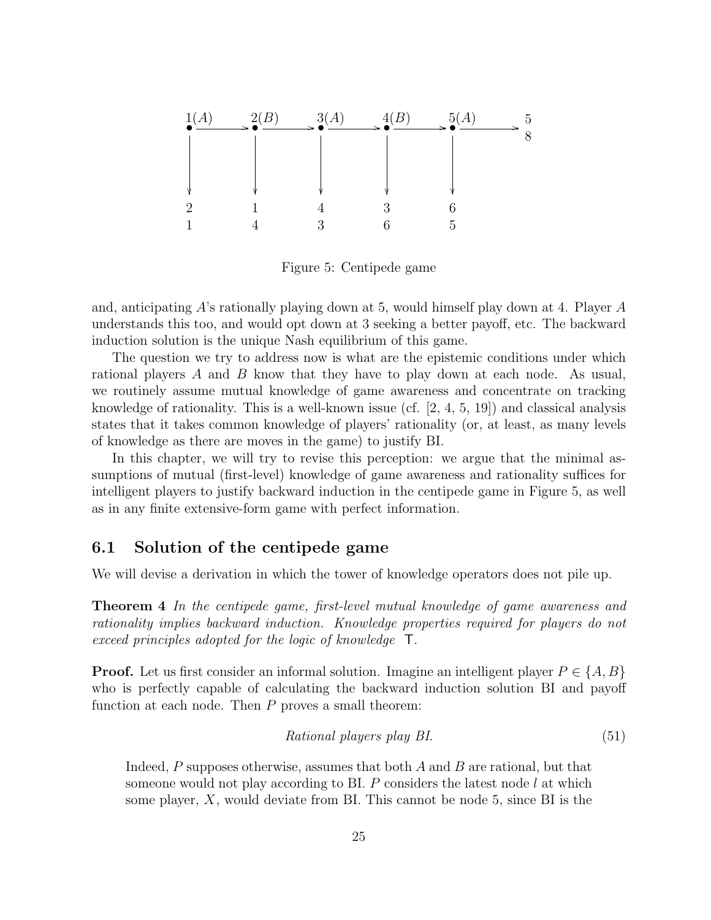

Figure 5: Centipede game

and, anticipating A's rationally playing down at 5, would himself play down at 4. Player A understands this too, and would opt down at 3 seeking a better payoff, etc. The backward induction solution is the unique Nash equilibrium of this game.

The question we try to address now is what are the epistemic conditions under which rational players A and B know that they have to play down at each node. As usual, we routinely assume mutual knowledge of game awareness and concentrate on tracking knowledge of rationality. This is a well-known issue (cf.  $[2, 4, 5, 19]$ ) and classical analysis states that it takes common knowledge of players' rationality (or, at least, as many levels of knowledge as there are moves in the game) to justify BI.

In this chapter, we will try to revise this perception: we argue that the minimal assumptions of mutual (first-level) knowledge of game awareness and rationality suffices for intelligent players to justify backward induction in the centipede game in Figure 5, as well as in any finite extensive-form game with perfect information.

### 6.1 Solution of the centipede game

We will devise a derivation in which the tower of knowledge operators does not pile up.

Theorem 4 In the centipede game, first-level mutual knowledge of game awareness and rationality implies backward induction. Knowledge properties required for players do not exceed principles adopted for the logic of knowledge T.

**Proof.** Let us first consider an informal solution. Imagine an intelligent player  $P \in \{A, B\}$ who is perfectly capable of calculating the backward induction solution BI and payoff function at each node. Then  $P$  proves a small theorem:

$$
Rational\ players\ play\ BI.
$$
\n
$$
(51)
$$

Indeed,  $P$  supposes otherwise, assumes that both  $A$  and  $B$  are rational, but that someone would not play according to BI.  $P$  considers the latest node  $l$  at which some player,  $X$ , would deviate from BI. This cannot be node 5, since BI is the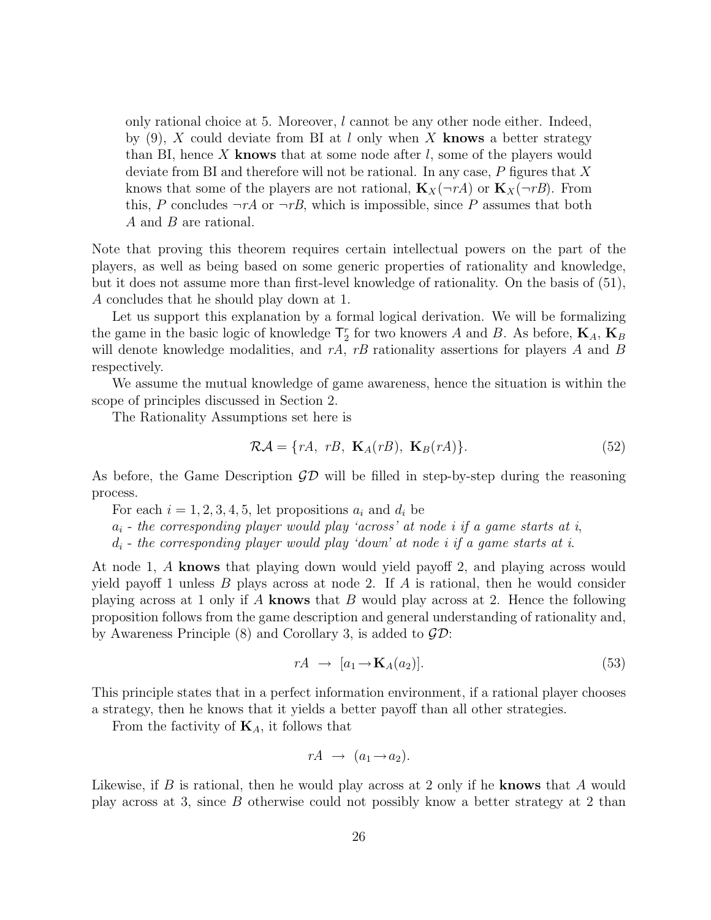only rational choice at 5. Moreover,  $l$  cannot be any other node either. Indeed, by  $(9)$ , X could deviate from BI at l only when X knows a better strategy than BI, hence X knows that at some node after  $l$ , some of the players would deviate from BI and therefore will not be rational. In any case,  $P$  figures that  $X$ knows that some of the players are not rational,  $\mathbf{K}_X(\neg rA)$  or  $\mathbf{K}_X(\neg rB)$ . From this, P concludes  $\neg rA$  or  $\neg rB$ , which is impossible, since P assumes that both A and B are rational.

Note that proving this theorem requires certain intellectual powers on the part of the players, as well as being based on some generic properties of rationality and knowledge, but it does not assume more than first-level knowledge of rationality. On the basis of (51), A concludes that he should play down at 1.

Let us support this explanation by a formal logical derivation. We will be formalizing the game in the basic logic of knowledge  $\mathsf{T}^r_2$  for two knowers A and B. As before,  $\mathbf{K}_A$ ,  $\mathbf{K}_B$ will denote knowledge modalities, and  $rA$ ,  $rB$  rationality assertions for players A and B respectively.

We assume the mutual knowledge of game awareness, hence the situation is within the scope of principles discussed in Section 2.

The Rationality Assumptions set here is

$$
\mathcal{RA} = \{rA, rB, \mathbf{K}_A(rB), \mathbf{K}_B(rA)\}.
$$
\n(52)

As before, the Game Description  $\mathcal{GD}$  will be filled in step-by-step during the reasoning process.

For each  $i = 1, 2, 3, 4, 5$ , let propositions  $a_i$  and  $d_i$  be

 $a_i$  - the corresponding player would play 'across' at node i if a game starts at i,

 $d_i$  - the corresponding player would play 'down' at node i if a game starts at i.

At node 1, A knows that playing down would yield payoff 2, and playing across would yield payoff 1 unless  $B$  plays across at node 2. If  $A$  is rational, then he would consider playing across at 1 only if  $A$  knows that  $B$  would play across at 2. Hence the following proposition follows from the game description and general understanding of rationality and, by Awareness Principle  $(8)$  and Corollary 3, is added to  $\mathcal{GD}$ :

$$
rA \rightarrow [a_1 \rightarrow \mathbf{K}_A(a_2)]. \tag{53}
$$

This principle states that in a perfect information environment, if a rational player chooses a strategy, then he knows that it yields a better payoff than all other strategies.

From the factivity of  $\mathbf{K}_A$ , it follows that

$$
rA \rightarrow (a_1 \rightarrow a_2).
$$

Likewise, if  $B$  is rational, then he would play across at 2 only if he knows that  $A$  would play across at 3, since B otherwise could not possibly know a better strategy at 2 than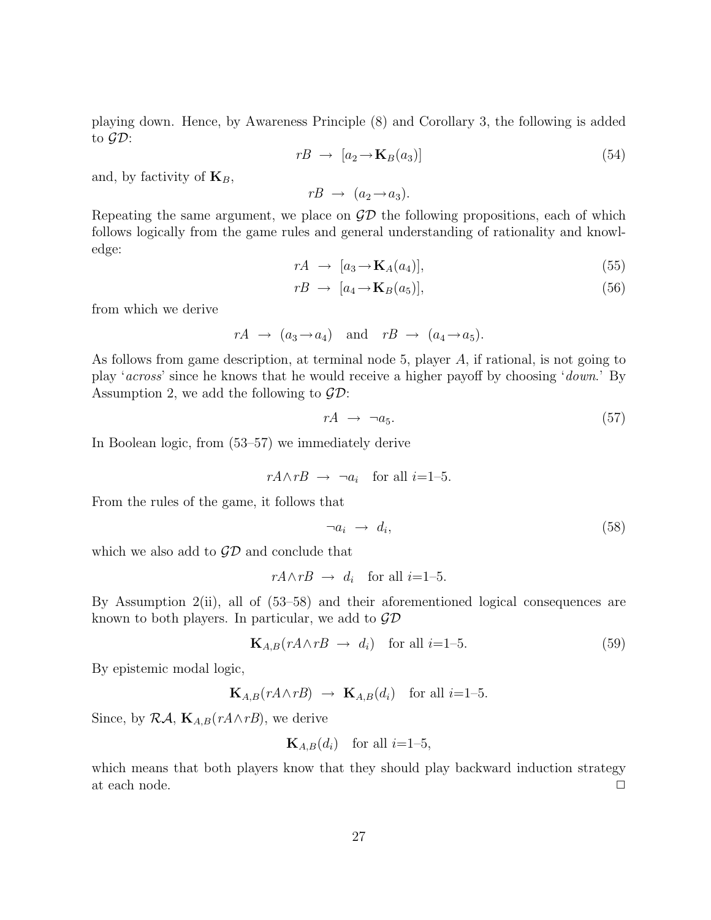playing down. Hence, by Awareness Principle (8) and Corollary 3, the following is added to  $\mathcal{GD}$ :

$$
rB \rightarrow [a_2 \rightarrow \mathbf{K}_B(a_3)] \tag{54}
$$

and, by factivity of  $\mathbf{K}_B$ ,

 $rB \rightarrow (a_2 \rightarrow a_3)$ .

Repeating the same argument, we place on  $\mathcal{GD}$  the following propositions, each of which follows logically from the game rules and general understanding of rationality and knowledge:

$$
rA \rightarrow [a_3 \rightarrow \mathbf{K}_A(a_4)], \tag{55}
$$

$$
rB \rightarrow [a_4 \rightarrow \mathbf{K}_B(a_5)], \tag{56}
$$

from which we derive

 $rA \rightarrow (a_3 \rightarrow a_4)$  and  $rB \rightarrow (a_4 \rightarrow a_5)$ .

As follows from game description, at terminal node 5, player A, if rational, is not going to play 'across' since he knows that he would receive a higher payoff by choosing 'down.' By Assumption 2, we add the following to  $\mathcal{GD}$ :

$$
rA \rightarrow \neg a_5. \tag{57}
$$

In Boolean logic, from (53–57) we immediately derive

$$
rA \wedge rB \rightarrow \neg a_i
$$
 for all  $i=1-5$ .

From the rules of the game, it follows that

$$
\neg a_i \rightarrow d_i,\tag{58}
$$

which we also add to  $\mathcal{GD}$  and conclude that

$$
rA \wedge rB \rightarrow d_i \quad \text{for all } i=1-5.
$$

By Assumption 2(ii), all of (53–58) and their aforementioned logical consequences are known to both players. In particular, we add to  $\mathcal{G}\mathcal{D}$ 

$$
\mathbf{K}_{A,B}(rA \wedge rB \rightarrow d_i) \quad \text{for all } i=1-5. \tag{59}
$$

By epistemic modal logic,

$$
\mathbf{K}_{A,B}(rA\wedge rB) \rightarrow \mathbf{K}_{A,B}(d_i) \text{ for all } i=1-5.
$$

Since, by  $\mathcal{R}A$ ,  $\mathbf{K}_{A,B}(rA\wedge rB)$ , we derive

$$
\mathbf{K}_{A,B}(d_i) \quad \text{for all } i=1-5,
$$

which means that both players know that they should play backward induction strategy at each node.  $\Box$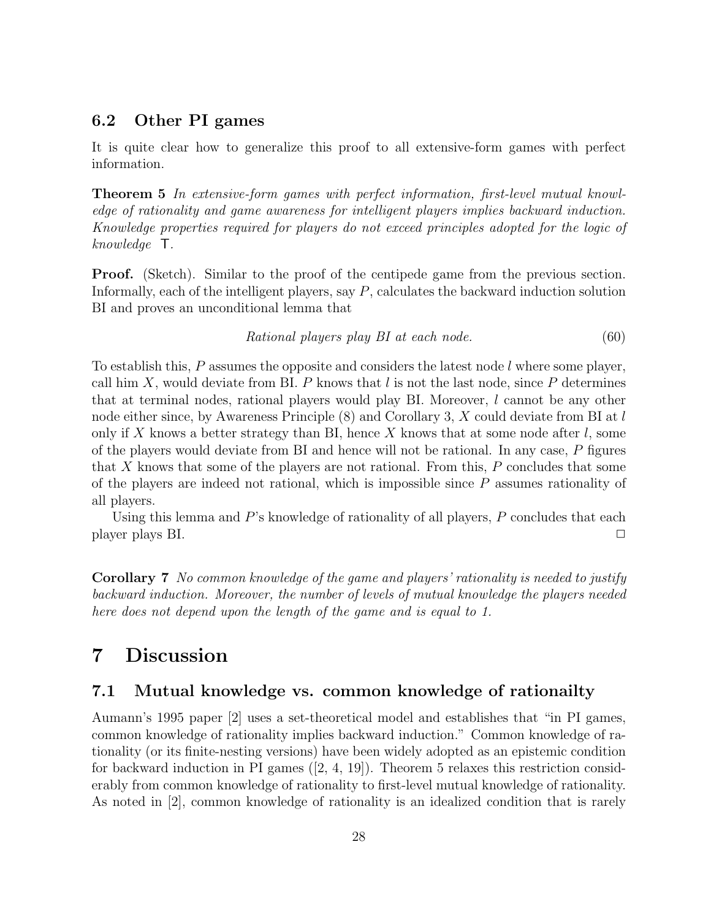### 6.2 Other PI games

It is quite clear how to generalize this proof to all extensive-form games with perfect information.

Theorem 5 In extensive-form games with perfect information, first-level mutual knowledge of rationality and game awareness for intelligent players implies backward induction. Knowledge properties required for players do not exceed principles adopted for the logic of knowledge T.

**Proof.** (Sketch). Similar to the proof of the centipede game from the previous section. Informally, each of the intelligent players, say P, calculates the backward induction solution BI and proves an unconditional lemma that

$$
Rational\ players\ play\ BI\ at\ each\ node.\tag{60}
$$

To establish this, P assumes the opposite and considers the latest node l where some player, call him X, would deviate from BI. P knows that  $l$  is not the last node, since P determines that at terminal nodes, rational players would play BI. Moreover, l cannot be any other node either since, by Awareness Principle (8) and Corollary 3, X could deviate from BI at l only if X knows a better strategy than BI, hence X knows that at some node after  $l$ , some of the players would deviate from BI and hence will not be rational. In any case, P figures that X knows that some of the players are not rational. From this, P concludes that some of the players are indeed not rational, which is impossible since  $P$  assumes rationality of all players.

Using this lemma and  $P$ 's knowledge of rationality of all players,  $P$  concludes that each player plays BI.

Corollary 7 No common knowledge of the game and players' rationality is needed to justify backward induction. Moreover, the number of levels of mutual knowledge the players needed here does not depend upon the length of the game and is equal to 1.

# 7 Discussion

### 7.1 Mutual knowledge vs. common knowledge of rationailty

Aumann's 1995 paper [2] uses a set-theoretical model and establishes that "in PI games, common knowledge of rationality implies backward induction." Common knowledge of rationality (or its finite-nesting versions) have been widely adopted as an epistemic condition for backward induction in PI games ([2, 4, 19]). Theorem 5 relaxes this restriction considerably from common knowledge of rationality to first-level mutual knowledge of rationality. As noted in [2], common knowledge of rationality is an idealized condition that is rarely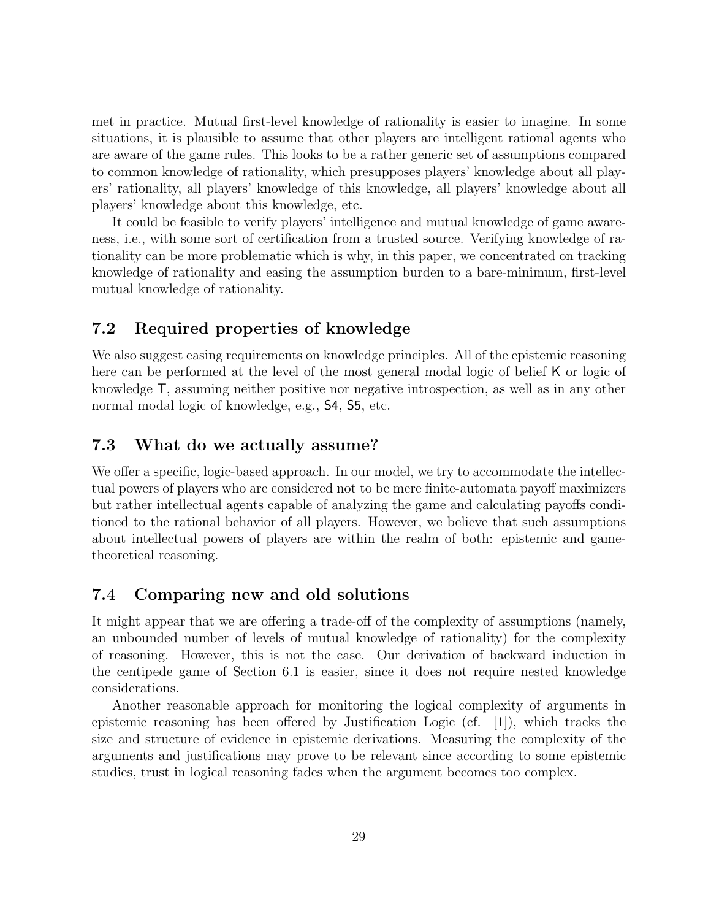met in practice. Mutual first-level knowledge of rationality is easier to imagine. In some situations, it is plausible to assume that other players are intelligent rational agents who are aware of the game rules. This looks to be a rather generic set of assumptions compared to common knowledge of rationality, which presupposes players' knowledge about all players' rationality, all players' knowledge of this knowledge, all players' knowledge about all players' knowledge about this knowledge, etc.

It could be feasible to verify players' intelligence and mutual knowledge of game awareness, i.e., with some sort of certification from a trusted source. Verifying knowledge of rationality can be more problematic which is why, in this paper, we concentrated on tracking knowledge of rationality and easing the assumption burden to a bare-minimum, first-level mutual knowledge of rationality.

### 7.2 Required properties of knowledge

We also suggest easing requirements on knowledge principles. All of the epistemic reasoning here can be performed at the level of the most general modal logic of belief K or logic of knowledge T, assuming neither positive nor negative introspection, as well as in any other normal modal logic of knowledge, e.g., S4, S5, etc.

### 7.3 What do we actually assume?

We offer a specific, logic-based approach. In our model, we try to accommodate the intellectual powers of players who are considered not to be mere finite-automata payoff maximizers but rather intellectual agents capable of analyzing the game and calculating payoffs conditioned to the rational behavior of all players. However, we believe that such assumptions about intellectual powers of players are within the realm of both: epistemic and gametheoretical reasoning.

### 7.4 Comparing new and old solutions

It might appear that we are offering a trade-off of the complexity of assumptions (namely, an unbounded number of levels of mutual knowledge of rationality) for the complexity of reasoning. However, this is not the case. Our derivation of backward induction in the centipede game of Section 6.1 is easier, since it does not require nested knowledge considerations.

Another reasonable approach for monitoring the logical complexity of arguments in epistemic reasoning has been offered by Justification Logic (cf.  $[1]$ ), which tracks the size and structure of evidence in epistemic derivations. Measuring the complexity of the arguments and justifications may prove to be relevant since according to some epistemic studies, trust in logical reasoning fades when the argument becomes too complex.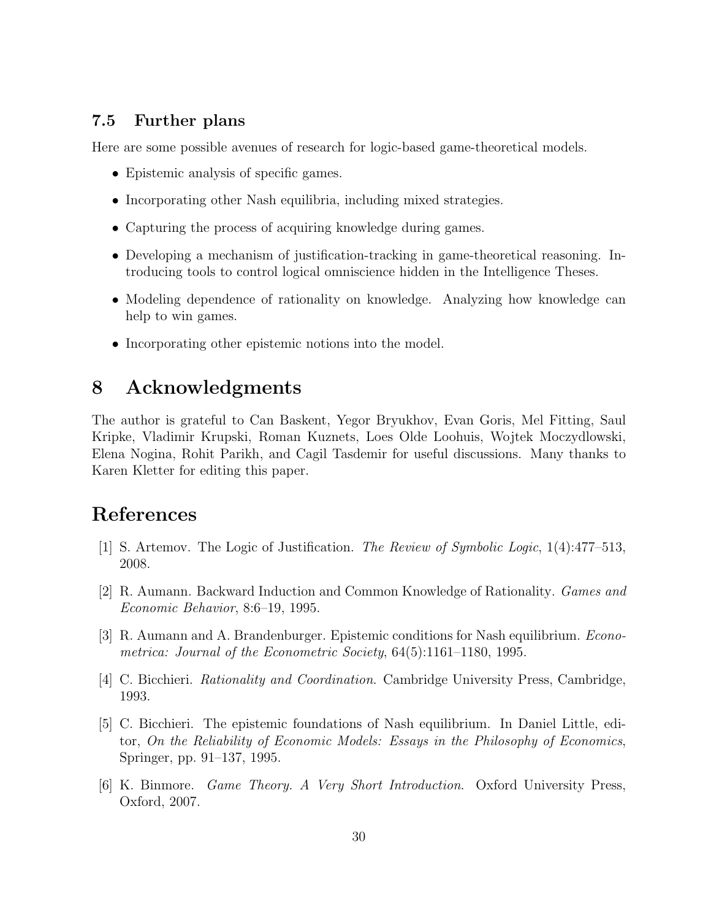### 7.5 Further plans

Here are some possible avenues of research for logic-based game-theoretical models.

- Epistemic analysis of specific games.
- Incorporating other Nash equilibria, including mixed strategies.
- Capturing the process of acquiring knowledge during games.
- Developing a mechanism of justification-tracking in game-theoretical reasoning. Introducing tools to control logical omniscience hidden in the Intelligence Theses.
- Modeling dependence of rationality on knowledge. Analyzing how knowledge can help to win games.
- Incorporating other epistemic notions into the model.

## 8 Acknowledgments

The author is grateful to Can Baskent, Yegor Bryukhov, Evan Goris, Mel Fitting, Saul Kripke, Vladimir Krupski, Roman Kuznets, Loes Olde Loohuis, Wojtek Moczydlowski, Elena Nogina, Rohit Parikh, and Cagil Tasdemir for useful discussions. Many thanks to Karen Kletter for editing this paper.

# References

- [1] S. Artemov. The Logic of Justification. The Review of Symbolic Logic, 1(4):477–513, 2008.
- [2] R. Aumann. Backward Induction and Common Knowledge of Rationality. Games and Economic Behavior, 8:6–19, 1995.
- [3] R. Aumann and A. Brandenburger. Epistemic conditions for Nash equilibrium. Econometrica: Journal of the Econometric Society, 64(5):1161–1180, 1995.
- [4] C. Bicchieri. Rationality and Coordination. Cambridge University Press, Cambridge, 1993.
- [5] C. Bicchieri. The epistemic foundations of Nash equilibrium. In Daniel Little, editor, On the Reliability of Economic Models: Essays in the Philosophy of Economics, Springer, pp. 91–137, 1995.
- [6] K. Binmore. Game Theory. A Very Short Introduction. Oxford University Press, Oxford, 2007.